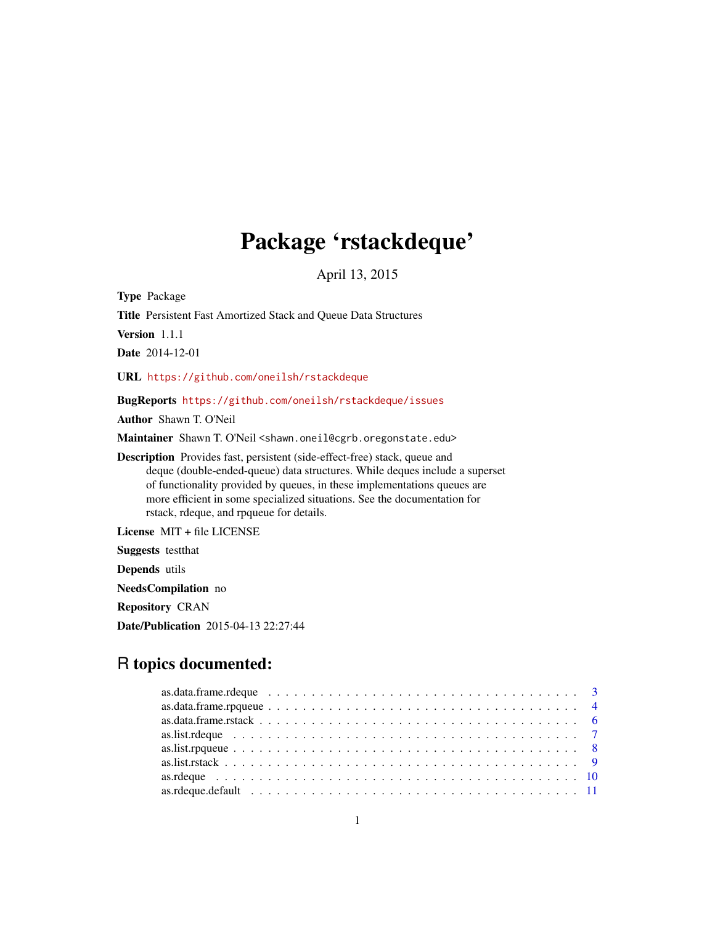## Package 'rstackdeque'

April 13, 2015

<span id="page-0-0"></span>Type Package Title Persistent Fast Amortized Stack and Queue Data Structures Version 1.1.1 Date 2014-12-01 URL <https://github.com/oneilsh/rstackdeque> BugReports <https://github.com/oneilsh/rstackdeque/issues>

Author Shawn T. O'Neil

Maintainer Shawn T. O'Neil <shawn.oneil@cgrb.oregonstate.edu>

Description Provides fast, persistent (side-effect-free) stack, queue and deque (double-ended-queue) data structures. While deques include a superset of functionality provided by queues, in these implementations queues are more efficient in some specialized situations. See the documentation for rstack, rdeque, and rpqueue for details.

License MIT + file LICENSE

Suggests testthat

Depends utils

NeedsCompilation no

Repository CRAN

Date/Publication 2015-04-13 22:27:44

## R topics documented:

| as.data.frame.rdeque $\ldots \ldots \ldots \ldots \ldots \ldots \ldots \ldots \ldots \ldots \ldots \ldots \ldots$ |  |  |  |  |  |  |  |  |  |  |  |  |  |  |  |  |  |  |  |
|-------------------------------------------------------------------------------------------------------------------|--|--|--|--|--|--|--|--|--|--|--|--|--|--|--|--|--|--|--|
|                                                                                                                   |  |  |  |  |  |  |  |  |  |  |  |  |  |  |  |  |  |  |  |
|                                                                                                                   |  |  |  |  |  |  |  |  |  |  |  |  |  |  |  |  |  |  |  |
|                                                                                                                   |  |  |  |  |  |  |  |  |  |  |  |  |  |  |  |  |  |  |  |
|                                                                                                                   |  |  |  |  |  |  |  |  |  |  |  |  |  |  |  |  |  |  |  |
|                                                                                                                   |  |  |  |  |  |  |  |  |  |  |  |  |  |  |  |  |  |  |  |
|                                                                                                                   |  |  |  |  |  |  |  |  |  |  |  |  |  |  |  |  |  |  |  |
|                                                                                                                   |  |  |  |  |  |  |  |  |  |  |  |  |  |  |  |  |  |  |  |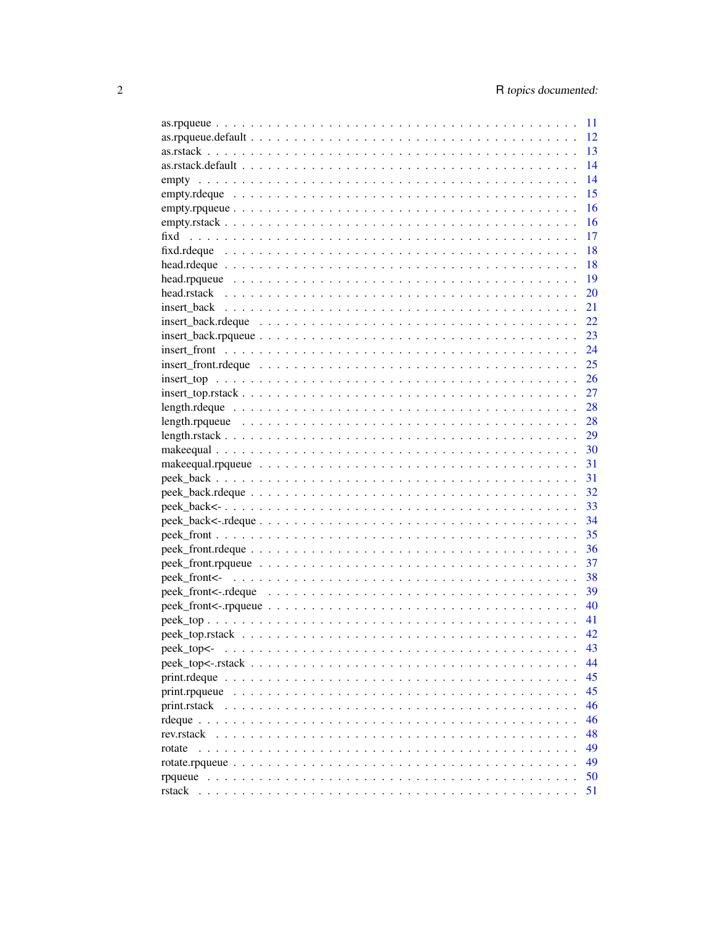|                                                                                                                                  | 12 |
|----------------------------------------------------------------------------------------------------------------------------------|----|
|                                                                                                                                  | 13 |
|                                                                                                                                  | 14 |
|                                                                                                                                  | 14 |
|                                                                                                                                  | 15 |
|                                                                                                                                  | 16 |
|                                                                                                                                  | 16 |
|                                                                                                                                  | 17 |
|                                                                                                                                  | 18 |
|                                                                                                                                  | 18 |
|                                                                                                                                  | 19 |
|                                                                                                                                  | 20 |
|                                                                                                                                  | 21 |
|                                                                                                                                  | 22 |
|                                                                                                                                  | 23 |
|                                                                                                                                  | 24 |
|                                                                                                                                  | 25 |
|                                                                                                                                  | 26 |
| $insert\_top.rstack \dots \dots \dots \dots \dots \dots \dots \dots \dots \dots \dots \dots \dots \dots \dots \dots \dots \dots$ | 27 |
|                                                                                                                                  | 28 |
|                                                                                                                                  | 28 |
|                                                                                                                                  |    |
|                                                                                                                                  |    |
|                                                                                                                                  |    |
|                                                                                                                                  | 31 |
|                                                                                                                                  | 31 |
|                                                                                                                                  |    |
|                                                                                                                                  |    |
|                                                                                                                                  |    |
|                                                                                                                                  | 35 |
|                                                                                                                                  |    |
|                                                                                                                                  |    |
|                                                                                                                                  |    |
|                                                                                                                                  |    |
|                                                                                                                                  | 40 |
|                                                                                                                                  |    |
|                                                                                                                                  |    |
| peek_top<-                                                                                                                       | 43 |
|                                                                                                                                  | 44 |
|                                                                                                                                  | 45 |
|                                                                                                                                  | 45 |
|                                                                                                                                  | 46 |
|                                                                                                                                  | 46 |
|                                                                                                                                  | 48 |
| rotate                                                                                                                           | 49 |
|                                                                                                                                  | 49 |
|                                                                                                                                  | 50 |
|                                                                                                                                  | 51 |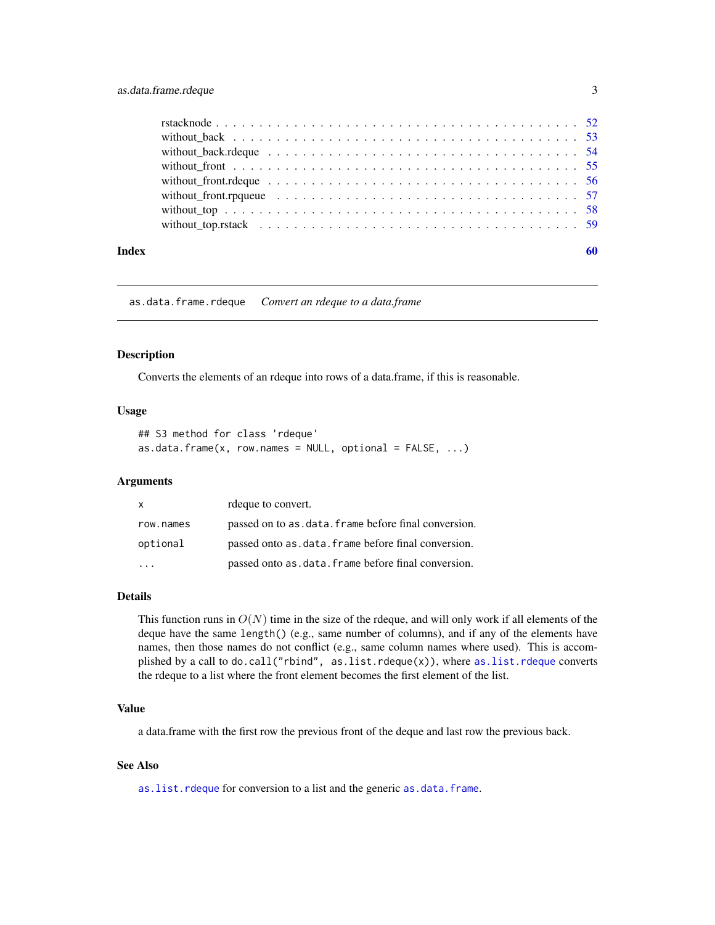### <span id="page-2-0"></span>as.data.frame.rdeque 3

| Index | 60 |
|-------|----|
|       |    |
|       |    |
|       |    |
|       |    |
|       |    |
|       |    |
|       |    |
|       |    |

as.data.frame.rdeque *Convert an rdeque to a data.frame*

#### Description

Converts the elements of an rdeque into rows of a data.frame, if this is reasonable.

### Usage

```
## S3 method for class 'rdeque'
as.data.frame(x, row.names = NULL, optional = FALSE, ...)
```
### Arguments

| $\mathsf{x}$ | rdeque to convert.                                    |
|--------------|-------------------------------------------------------|
| row.names    | passed on to as data. frame before final conversion.  |
| optional     | passed onto as data. frame before final conversion.   |
|              | passed onto as . data. frame before final conversion. |

### Details

This function runs in  $O(N)$  time in the size of the rdeque, and will only work if all elements of the deque have the same length() (e.g., same number of columns), and if any of the elements have names, then those names do not conflict (e.g., same column names where used). This is accomplished by a call to do.call("rbind", [as.list.rdeque](#page-6-1)(x)), where as.list.rdeque converts the rdeque to a list where the front element becomes the first element of the list.

#### Value

a data.frame with the first row the previous front of the deque and last row the previous back.

### See Also

[as.list.rdeque](#page-6-1) for conversion to a list and the generic [as.data.frame](#page-0-0).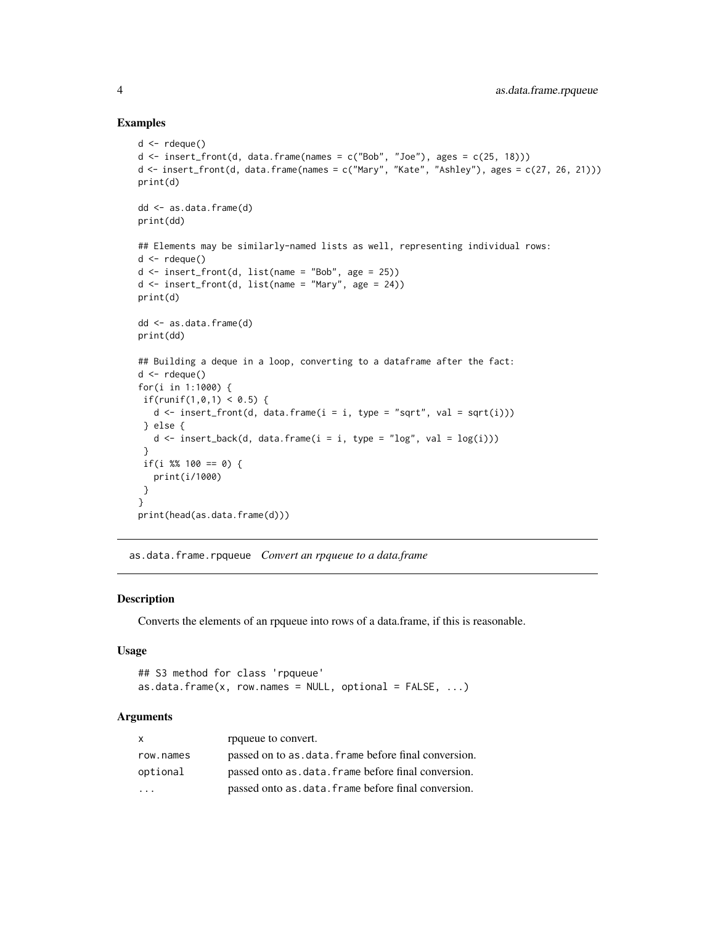#### Examples

```
d \leftarrow rdeque()
d \le insert_front(d, data.frame(names = c("Bob", "Joe"), ages = c(25, 18)))
d <- insert_front(d, data.frame(names = c("Mary", "Kate", "Ashley"), ages = c(27, 26, 21)))
print(d)
dd <- as.data.frame(d)
print(dd)
## Elements may be similarly-named lists as well, representing individual rows:
d \leq rdeque()
d \leq insert_front(d, list(name = "Bob", age = 25))
d \leq insert_front(d, list(name = "Mary", age = 24))
print(d)
dd <- as.data.frame(d)
print(dd)
## Building a deque in a loop, converting to a dataframe after the fact:
d \leftarrow rdeque()
for(i in 1:1000) {
 if(runif(1,0,1) < 0.5) {
   d \leq insert_front(d, data.frame(i = i, type = "sqrt", val = sqrt(i)))
 } else {
  d \leq insert_back(d, data.frame(i = i, type = "log", val = log(i)))
 }
 if(i %% 100 == 0) {
   print(i/1000)
 }
}
print(head(as.data.frame(d)))
```
<span id="page-3-1"></span>as.data.frame.rpqueue *Convert an rpqueue to a data.frame*

### Description

Converts the elements of an rpqueue into rows of a data.frame, if this is reasonable.

#### Usage

```
## S3 method for class 'rpqueue'
as.data.frame(x, row.names = NULL, optional = FALSE, ...)
```
#### Arguments

| X         | rpqueue to convert.                                  |
|-----------|------------------------------------------------------|
| row.names | passed on to as data. frame before final conversion. |
| optional  | passed onto as data. frame before final conversion.  |
| $\cdot$   | passed onto as data. frame before final conversion.  |

<span id="page-3-0"></span>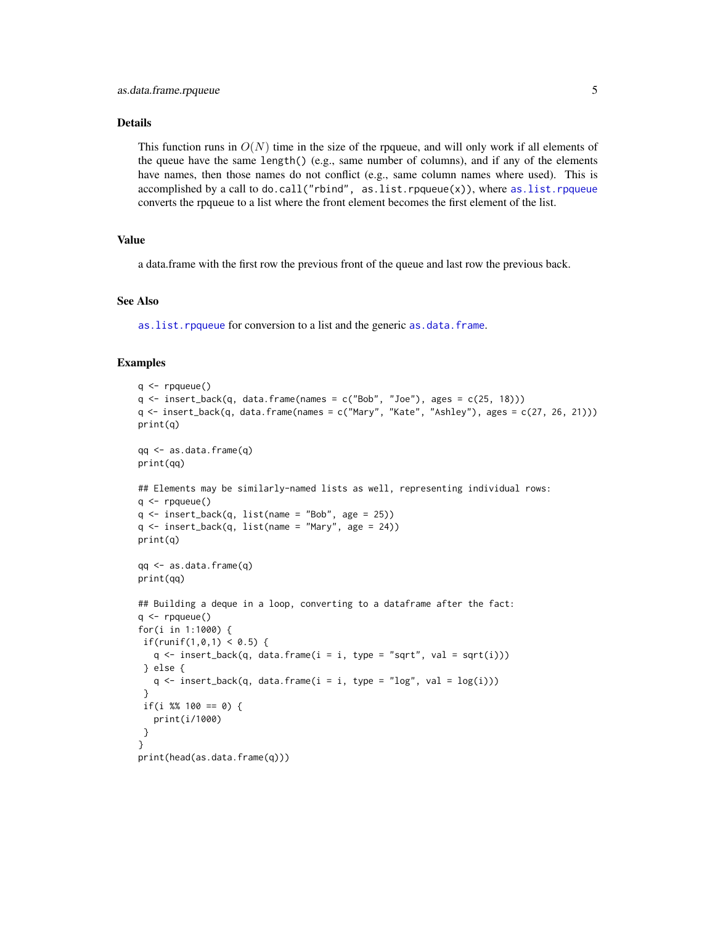#### <span id="page-4-0"></span>Details

This function runs in  $O(N)$  time in the size of the rpqueue, and will only work if all elements of the queue have the same length() (e.g., same number of columns), and if any of the elements have names, then those names do not conflict (e.g., same column names where used). This is accomplished by a call to do.call("rbind", as.list.rpqueue(x)), where [as.list.rpqueue](#page-7-1) converts the rpqueue to a list where the front element becomes the first element of the list.

#### Value

a data.frame with the first row the previous front of the queue and last row the previous back.

### See Also

as. list. rpqueue for conversion to a list and the generic as. data. frame.

```
q <- rpqueue()
q <- insert_back(q, data.frame(names = c("Bob", "Joe"), ages = c(25, 18)))
q <- insert_back(q, data.frame(names = c("Mary", "Kate", "Ashley"), ages = c(27, 26, 21)))
print(q)
qq <- as.data.frame(q)
print(qq)
## Elements may be similarly-named lists as well, representing individual rows:
q \leftarrow rpqueue()
q \leftarrow insert_back(q, list(name = "Bob", age = 25))
q \leq insert_back(q, list(name = "Mary", age = 24))
print(q)
qq <- as.data.frame(q)
print(qq)
## Building a deque in a loop, converting to a dataframe after the fact:
q \leftarrow rpqueue()
for(i in 1:1000) {
if(runif(1,0,1) < 0.5) {
  q \leq insert_back(q, data.frame(i = i, type = "sqrt", val = sqrt(i)))
 } else {
   q \leq insert_back(q, data.frame(i = i, type = "log", val = log(i)))
 }
if(i %% 100 == 0) {
   print(i/1000)
}
}
print(head(as.data.frame(q)))
```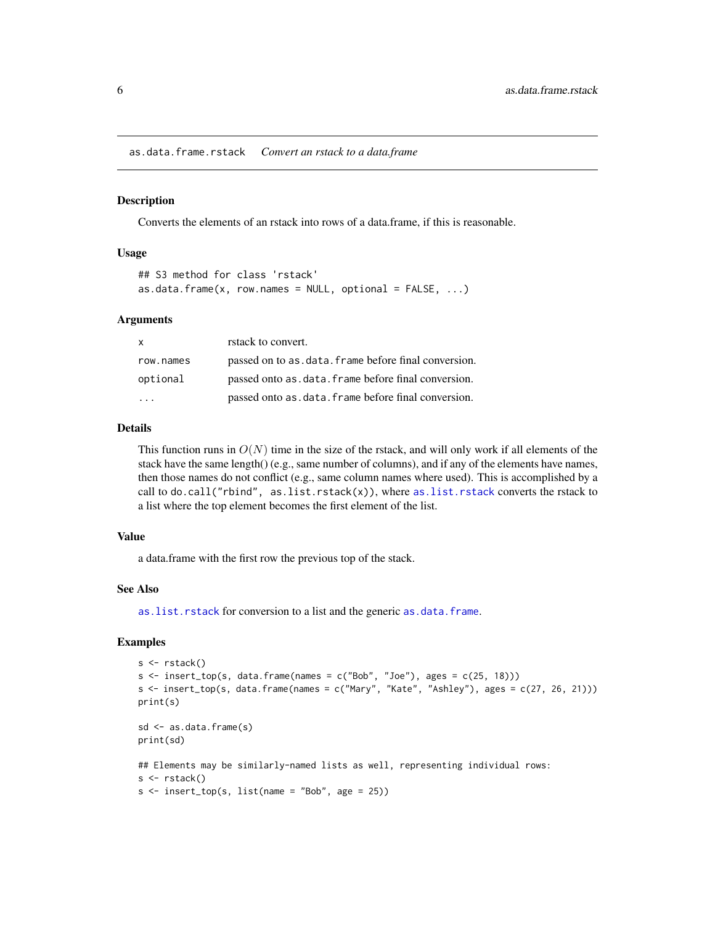<span id="page-5-1"></span><span id="page-5-0"></span>as.data.frame.rstack *Convert an rstack to a data.frame*

#### Description

Converts the elements of an rstack into rows of a data.frame, if this is reasonable.

#### Usage

```
## S3 method for class 'rstack'
as.data.frame(x, row.names = NULL, optional = FALSE, ...)
```
#### **Arguments**

| $\mathsf{x}$ | rstack to convert.                                   |
|--------------|------------------------------------------------------|
| row.names    | passed on to as data. frame before final conversion. |
| optional     | passed onto as data. frame before final conversion.  |
|              | passed onto as data. frame before final conversion.  |

#### Details

This function runs in  $O(N)$  time in the size of the rstack, and will only work if all elements of the stack have the same length() (e.g., same number of columns), and if any of the elements have names, then those names do not conflict (e.g., same column names where used). This is accomplished by a call to do.call("rbind", as.list.rstack(x)), where [as.list.rstack](#page-8-1) converts the rstack to a list where the top element becomes the first element of the list.

#### Value

a data.frame with the first row the previous top of the stack.

#### See Also

[as.list.rstack](#page-8-1) for conversion to a list and the generic [as.data.frame](#page-0-0).

```
s < -rstack()s \leq insert_top(s, data.frame(names = c("Bob", "Joe"), ages = c(25, 18)))
s <- insert_top(s, data.frame(names = c("Mary", "Kate", "Ashley"), ages = c(27, 26, 21)))
print(s)
sd <- as.data.frame(s)
print(sd)
## Elements may be similarly-named lists as well, representing individual rows:
s \leftarrow \text{rstack()}s \leq insert_top(s, list(name = "Bob", age = 25))
```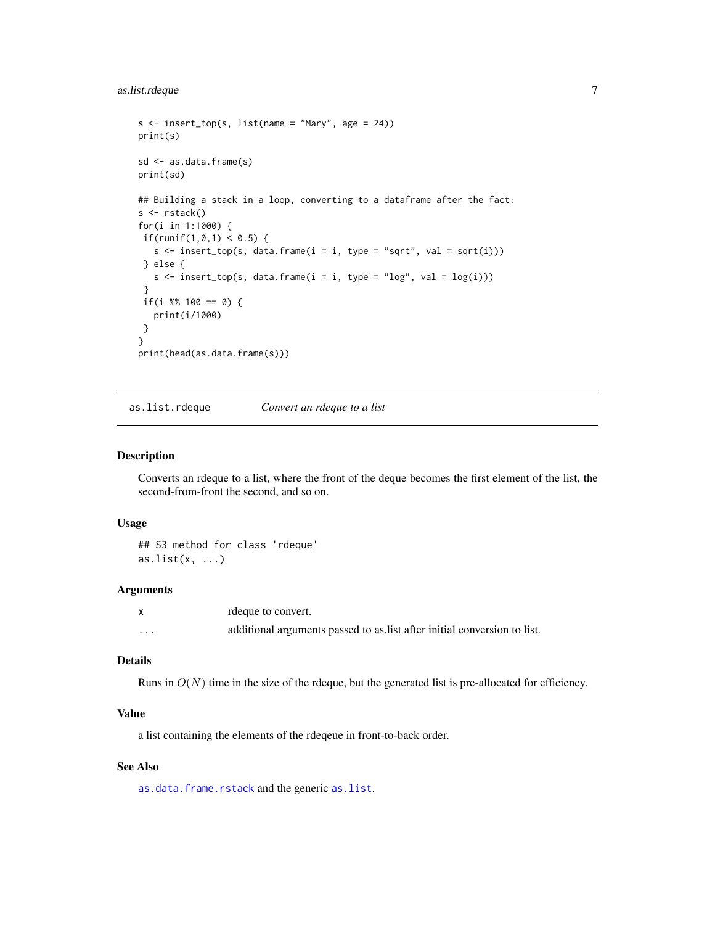### <span id="page-6-0"></span>as.list.rdeque 7

```
s \leq insert_top(s, list(name = "Mary", age = 24))
print(s)
sd <- as.data.frame(s)
print(sd)
## Building a stack in a loop, converting to a dataframe after the fact:
s \leftarrow \text{rstack()}for(i in 1:1000) {
if(runif(1,0,1) < 0.5) {
   s \leftarrow insert_top(s, data.frame(i = i, type = "sqrt", val = sqrt(i)))
} else {
   s \le insert_top(s, data.frame(i = i, type = "log", val = log(i)))
 }
if(i %% 100 == 0) {
   print(i/1000)
}
}
print(head(as.data.frame(s)))
```
<span id="page-6-1"></span>as.list.rdeque *Convert an rdeque to a list*

#### Description

Converts an rdeque to a list, where the front of the deque becomes the first element of the list, the second-from-front the second, and so on.

#### Usage

```
## S3 method for class 'rdeque'
as.list(x, ...)
```
#### **Arguments**

|          | rdeque to convert.                                                       |
|----------|--------------------------------------------------------------------------|
| $\cdots$ | additional arguments passed to as list after initial conversion to list. |

### Details

Runs in  $O(N)$  time in the size of the rdeque, but the generated list is pre-allocated for efficiency.

### Value

a list containing the elements of the rdeqeue in front-to-back order.

### See Also

[as.data.frame.rstack](#page-5-1) and the generic [as.list](#page-0-0).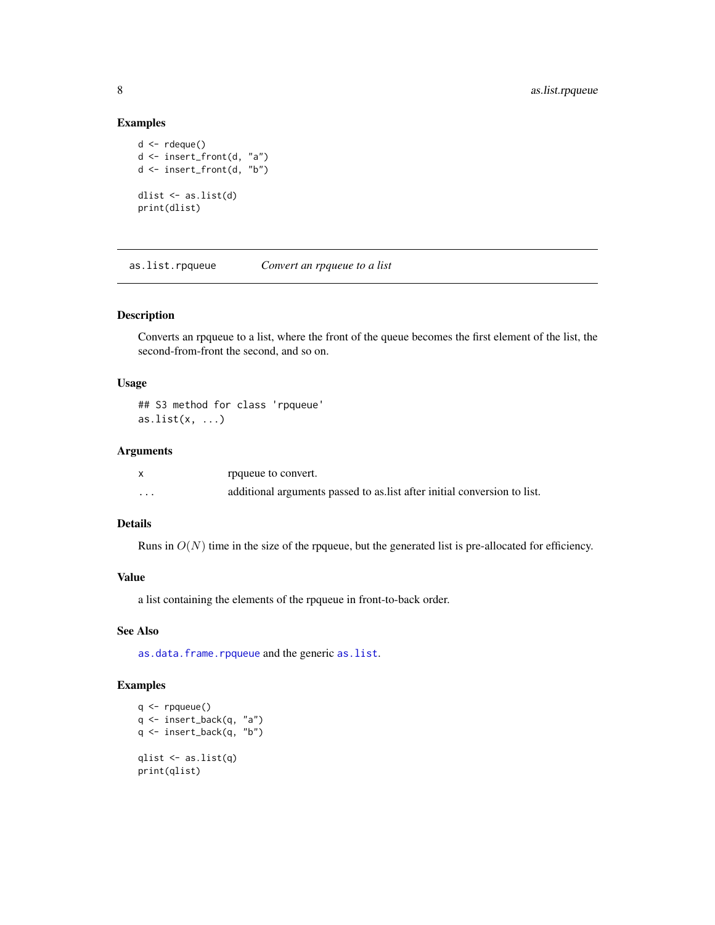### Examples

```
d \leftarrow rdeque()
d <- insert_front(d, "a")
d <- insert_front(d, "b")
dlist <- as.list(d)
print(dlist)
```
<span id="page-7-1"></span>as.list.rpqueue *Convert an rpqueue to a list*

### Description

Converts an rpqueue to a list, where the front of the queue becomes the first element of the list, the second-from-front the second, and so on.

#### Usage

## S3 method for class 'rpqueue' as.list $(x, \ldots)$ 

### Arguments

|          | rpqueue to convert.                                                      |
|----------|--------------------------------------------------------------------------|
| $\cdots$ | additional arguments passed to as list after initial conversion to list. |

### Details

Runs in  $O(N)$  time in the size of the rpqueue, but the generated list is pre-allocated for efficiency.

### Value

a list containing the elements of the rpqueue in front-to-back order.

#### See Also

[as.data.frame.rpqueue](#page-3-1) and the generic [as.list](#page-0-0).

```
q <- rpqueue()
q <- insert_back(q, "a")
q <- insert_back(q, "b")
qlist <- as.list(q)
print(qlist)
```
<span id="page-7-0"></span>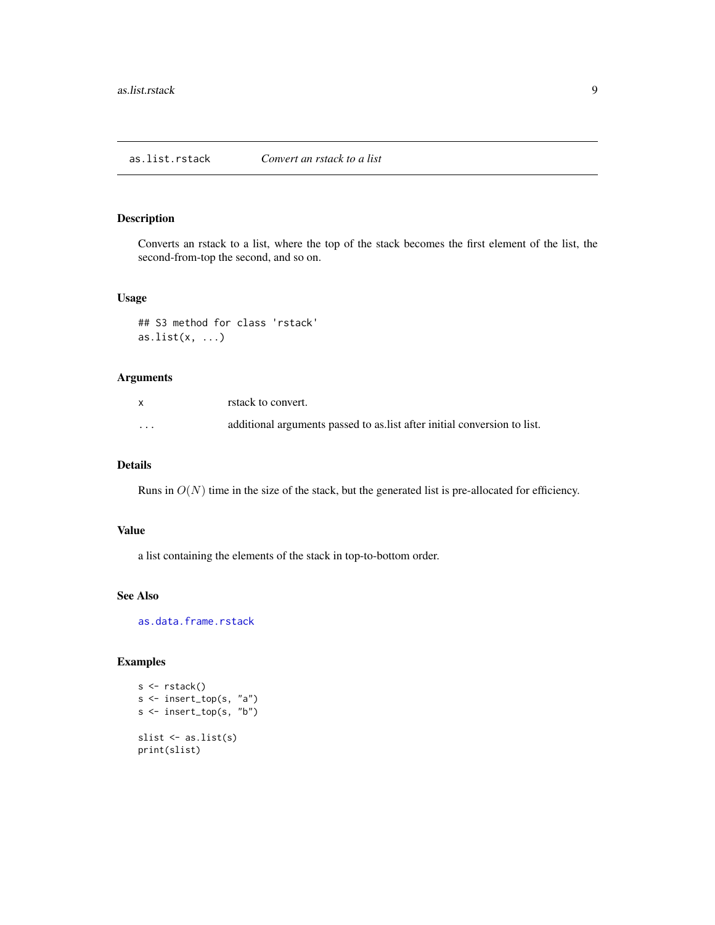<span id="page-8-1"></span><span id="page-8-0"></span>Converts an rstack to a list, where the top of the stack becomes the first element of the list, the second-from-top the second, and so on.

#### Usage

## S3 method for class 'rstack' as.list $(x, \ldots)$ 

### Arguments

|          | rstack to convert.                                                       |
|----------|--------------------------------------------------------------------------|
| $\cdots$ | additional arguments passed to as list after initial conversion to list. |

### Details

Runs in  $O(N)$  time in the size of the stack, but the generated list is pre-allocated for efficiency.

#### Value

a list containing the elements of the stack in top-to-bottom order.

### See Also

[as.data.frame.rstack](#page-5-1)

```
s <- rstack()
s <- insert_top(s, "a")
s <- insert_top(s, "b")
slist <- as.list(s)
print(slist)
```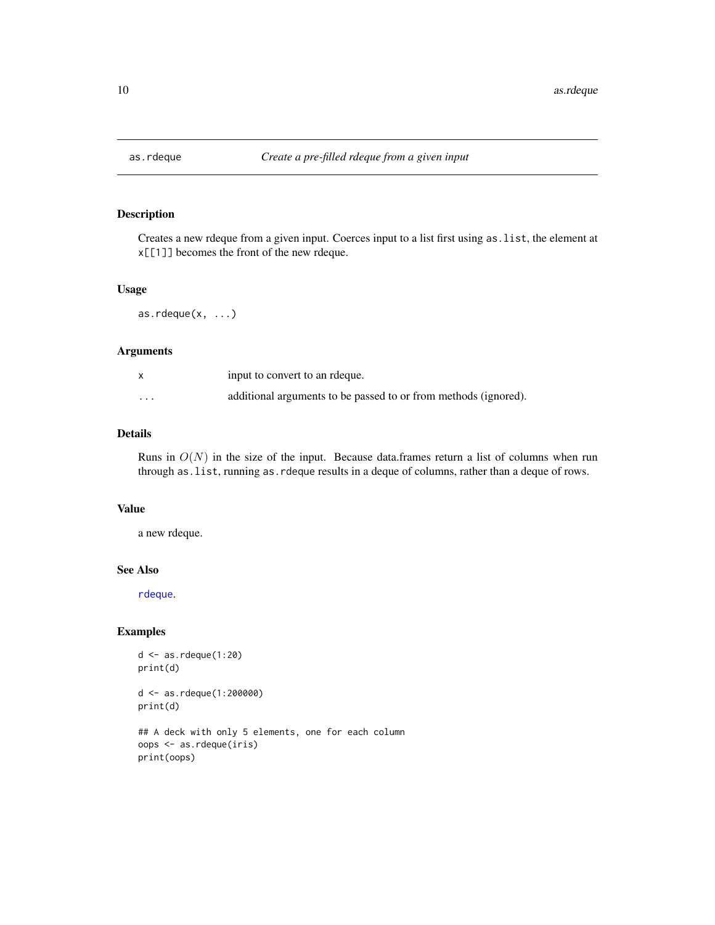<span id="page-9-1"></span><span id="page-9-0"></span>

Creates a new rdeque from a given input. Coerces input to a list first using as.list, the element at x[[1]] becomes the front of the new rdeque.

#### Usage

 $as.$ rdeque $(x, \ldots)$ 

#### Arguments

|          | input to convert to an redque.                                  |
|----------|-----------------------------------------------------------------|
| $\cdots$ | additional arguments to be passed to or from methods (ignored). |

### Details

Runs in  $O(N)$  in the size of the input. Because data.frames return a list of columns when run through as.list, running as.rdeque results in a deque of columns, rather than a deque of rows.

### Value

a new rdeque.

#### See Also

[rdeque](#page-45-1).

print(oops)

```
d <- as.rdeque(1:20)
print(d)
d <- as.rdeque(1:200000)
print(d)
## A deck with only 5 elements, one for each column
oops <- as.rdeque(iris)
```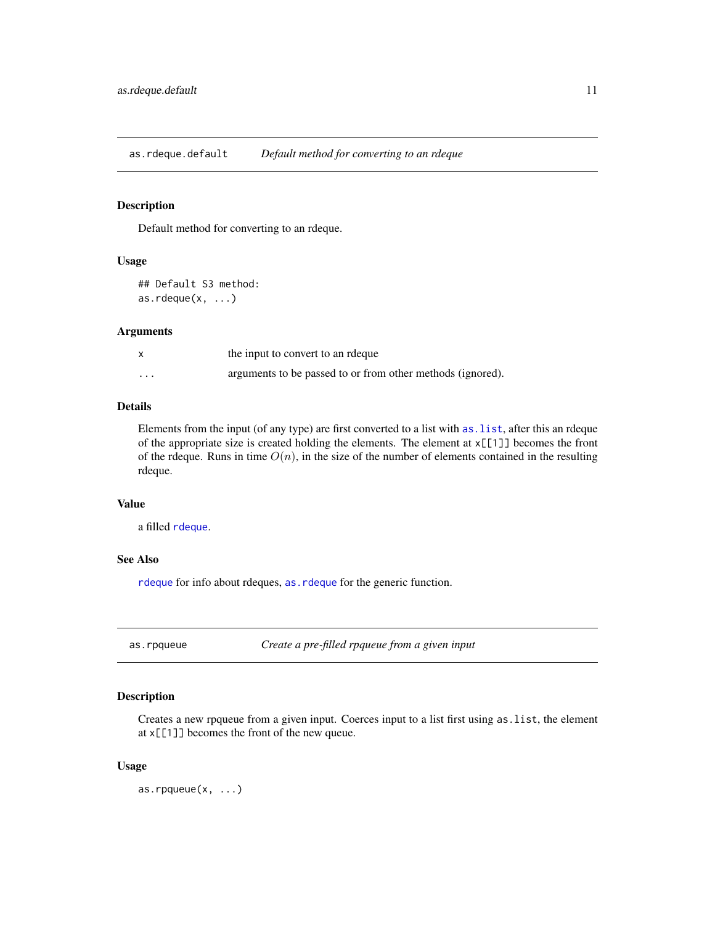<span id="page-10-0"></span>as.rdeque.default *Default method for converting to an rdeque*

### Description

Default method for converting to an rdeque.

#### Usage

```
## Default S3 method:
as.rdeque(x, \ldots)
```
#### Arguments

|          | the input to convert to an reque                           |
|----------|------------------------------------------------------------|
| $\cdots$ | arguments to be passed to or from other methods (ignored). |

### Details

Elements from the input (of any type) are first converted to a list with [as.list](#page-0-0), after this an rdeque of the appropriate size is created holding the elements. The element at x[[1]] becomes the front of the rdeque. Runs in time  $O(n)$ , in the size of the number of elements contained in the resulting rdeque.

#### Value

a filled [rdeque](#page-45-1).

### See Also

[rdeque](#page-45-1) for info about rdeques, [as.rdeque](#page-9-1) for the generic function.

<span id="page-10-1"></span>as.rpqueue *Create a pre-filled rpqueue from a given input*

### Description

Creates a new rpqueue from a given input. Coerces input to a list first using as.list, the element at x[[1]] becomes the front of the new queue.

#### Usage

as.rpqueue $(x, \ldots)$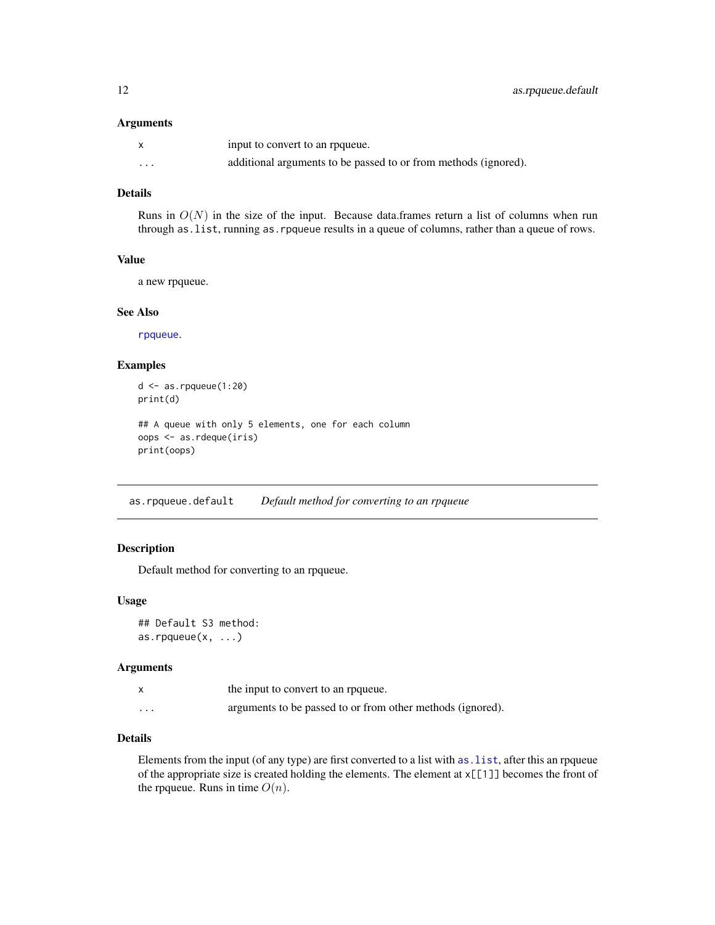#### <span id="page-11-0"></span>Arguments

|                         | input to convert to an requeue.                                 |
|-------------------------|-----------------------------------------------------------------|
| $\cdot$ $\cdot$ $\cdot$ | additional arguments to be passed to or from methods (ignored). |

### Details

Runs in  $O(N)$  in the size of the input. Because data.frames return a list of columns when run through as.list, running as.rpqueue results in a queue of columns, rather than a queue of rows.

### Value

a new rpqueue.

#### See Also

[rpqueue](#page-49-1).

### Examples

```
d <- as.rpqueue(1:20)
print(d)
## A queue with only 5 elements, one for each column
oops <- as.rdeque(iris)
print(oops)
```
as.rpqueue.default *Default method for converting to an rpqueue*

#### Description

Default method for converting to an rpqueue.

#### Usage

```
## Default S3 method:
as.rpqueue(x, \ldots)
```
### Arguments

|          | the input to convert to an requeue.                        |
|----------|------------------------------------------------------------|
| $\cdots$ | arguments to be passed to or from other methods (ignored). |

### Details

Elements from the input (of any type) are first converted to a list with [as.list](#page-0-0), after this an rpqueue of the appropriate size is created holding the elements. The element at x[[1]] becomes the front of the rpqueue. Runs in time  $O(n)$ .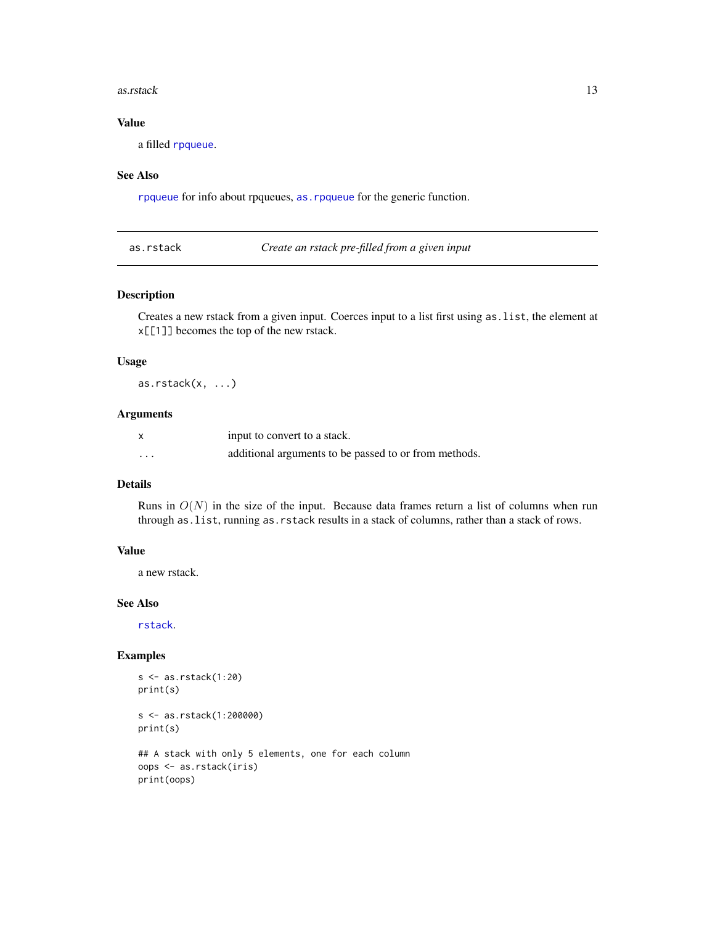#### <span id="page-12-0"></span>as.rstack 13

### Value

a filled [rpqueue](#page-49-1).

#### See Also

[rpqueue](#page-49-1) for info about rpqueues, [as.rpqueue](#page-10-1) for the generic function.

<span id="page-12-1"></span>

|  | as.rstack |
|--|-----------|
|  |           |

Create an rstack pre-filled from a given input

### Description

Creates a new rstack from a given input. Coerces input to a list first using as.list, the element at x[[1]] becomes the top of the new rstack.

### Usage

 $as.rstack(x, ...)$ 

### Arguments

|         | input to convert to a stack.                          |
|---------|-------------------------------------------------------|
| $\cdot$ | additional arguments to be passed to or from methods. |

#### Details

Runs in  $O(N)$  in the size of the input. Because data frames return a list of columns when run through as.list, running as.rstack results in a stack of columns, rather than a stack of rows.

### Value

a new rstack.

#### See Also

[rstack](#page-50-1).

```
s <- as.rstack(1:20)
print(s)
s <- as.rstack(1:200000)
print(s)
## A stack with only 5 elements, one for each column
oops <- as.rstack(iris)
print(oops)
```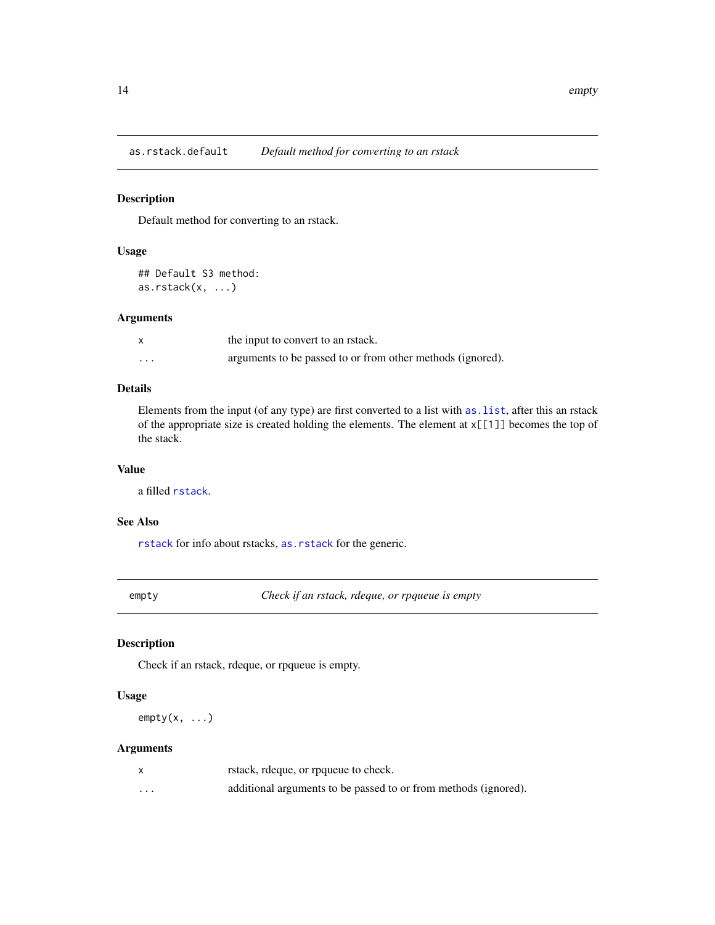<span id="page-13-0"></span>as.rstack.default *Default method for converting to an rstack*

### Description

Default method for converting to an rstack.

### Usage

```
## Default S3 method:
as.rstack(x, ...)
```
### Arguments

|   | the input to convert to an retack.                         |
|---|------------------------------------------------------------|
| . | arguments to be passed to or from other methods (ignored). |

### Details

Elements from the input (of any type) are first converted to a list with as. list, after this an rstack of the appropriate size is created holding the elements. The element at x[[1]] becomes the top of the stack.

#### Value

a filled [rstack](#page-50-1).

### See Also

[rstack](#page-50-1) for info about rstacks, [as.rstack](#page-12-1) for the generic.

<span id="page-13-1"></span>empty *Check if an rstack, rdeque, or rpqueue is empty*

### Description

Check if an rstack, rdeque, or rpqueue is empty.

### Usage

 $empty(x, \ldots)$ 

### Arguments

|                         | rstack, rdeque, or rpqueue to check.                            |
|-------------------------|-----------------------------------------------------------------|
| $\cdot$ $\cdot$ $\cdot$ | additional arguments to be passed to or from methods (ignored). |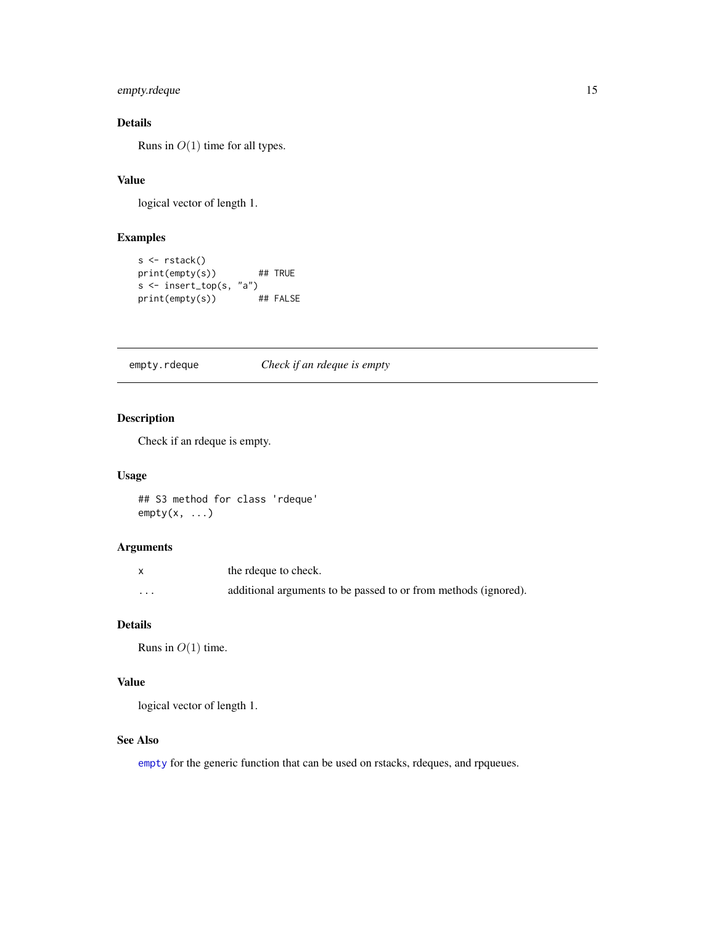### <span id="page-14-0"></span>empty.rdeque 15

### Details

Runs in  $O(1)$  time for all types.

### Value

logical vector of length 1.

### Examples

```
s <- rstack()
print(empty(s)) ## TRUE
s <- insert_top(s, "a")
print(empty(s)) ## FALSE
```
empty.rdeque *Check if an rdeque is empty*

### Description

Check if an rdeque is empty.

### Usage

## S3 method for class 'rdeque'  $empty(x, \ldots)$ 

#### Arguments

|   | the rdeque to check.                                            |
|---|-----------------------------------------------------------------|
| . | additional arguments to be passed to or from methods (ignored). |

### Details

Runs in  $O(1)$  time.

### Value

logical vector of length 1.

### See Also

[empty](#page-13-1) for the generic function that can be used on rstacks, rdeques, and rpqueues.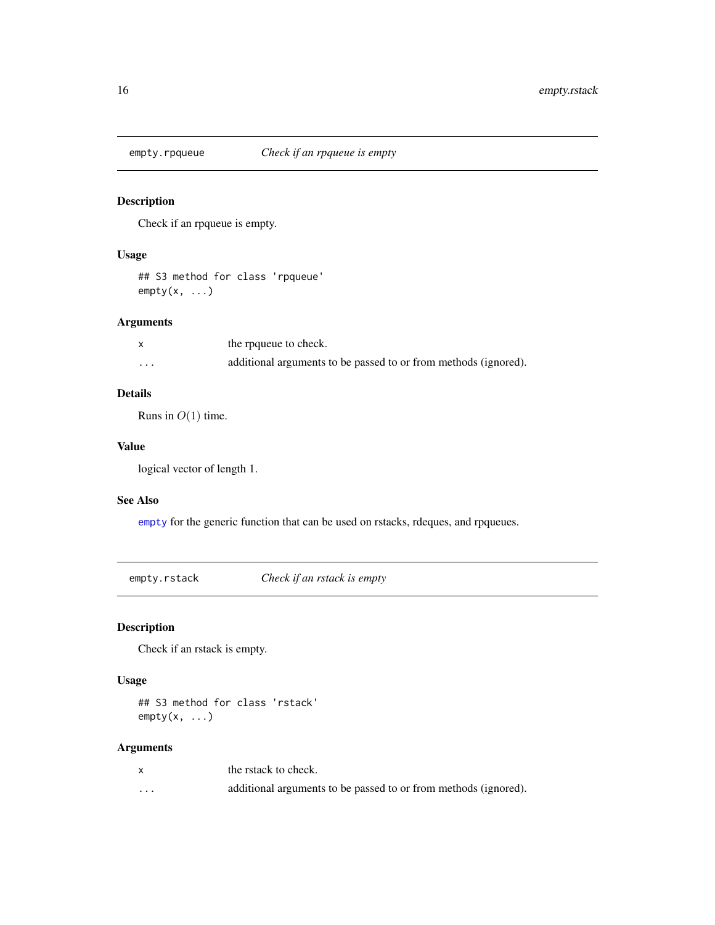<span id="page-15-0"></span>

Check if an rpqueue is empty.

### Usage

## S3 method for class 'rpqueue'  $empty(x, \ldots)$ 

### Arguments

|                         | the rpqueue to check.                                           |
|-------------------------|-----------------------------------------------------------------|
| $\cdot$ $\cdot$ $\cdot$ | additional arguments to be passed to or from methods (ignored). |

### Details

Runs in  $O(1)$  time.

### Value

logical vector of length 1.

#### See Also

[empty](#page-13-1) for the generic function that can be used on rstacks, rdeques, and rpqueues.

empty.rstack *Check if an rstack is empty*

Description

Check if an rstack is empty.

### Usage

## S3 method for class 'rstack'  $empty(x, \ldots)$ 

### Arguments

|         | the rstack to check.                                            |
|---------|-----------------------------------------------------------------|
| $\cdot$ | additional arguments to be passed to or from methods (ignored). |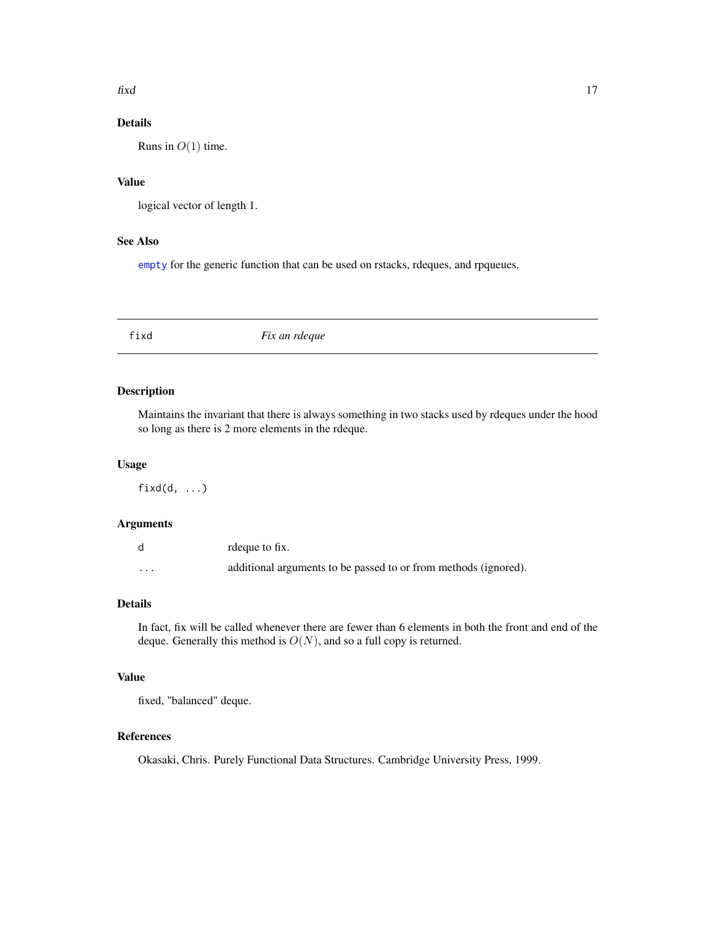#### <span id="page-16-0"></span> $\beta$  17

### Details

Runs in  $O(1)$  time.

### Value

logical vector of length 1.

### See Also

[empty](#page-13-1) for the generic function that can be used on rstacks, rdeques, and rpqueues.

fixd *Fix an rdeque*

### Description

Maintains the invariant that there is always something in two stacks used by rdeques under the hood so long as there is 2 more elements in the rdeque.

#### Usage

 $fixed(d, \ldots)$ 

#### Arguments

|          | rdeque to fix.                                                  |
|----------|-----------------------------------------------------------------|
| $\cdots$ | additional arguments to be passed to or from methods (ignored). |

### Details

In fact, fix will be called whenever there are fewer than 6 elements in both the front and end of the deque. Generally this method is  $O(N)$ , and so a full copy is returned.

#### Value

fixed, "balanced" deque.

#### References

Okasaki, Chris. Purely Functional Data Structures. Cambridge University Press, 1999.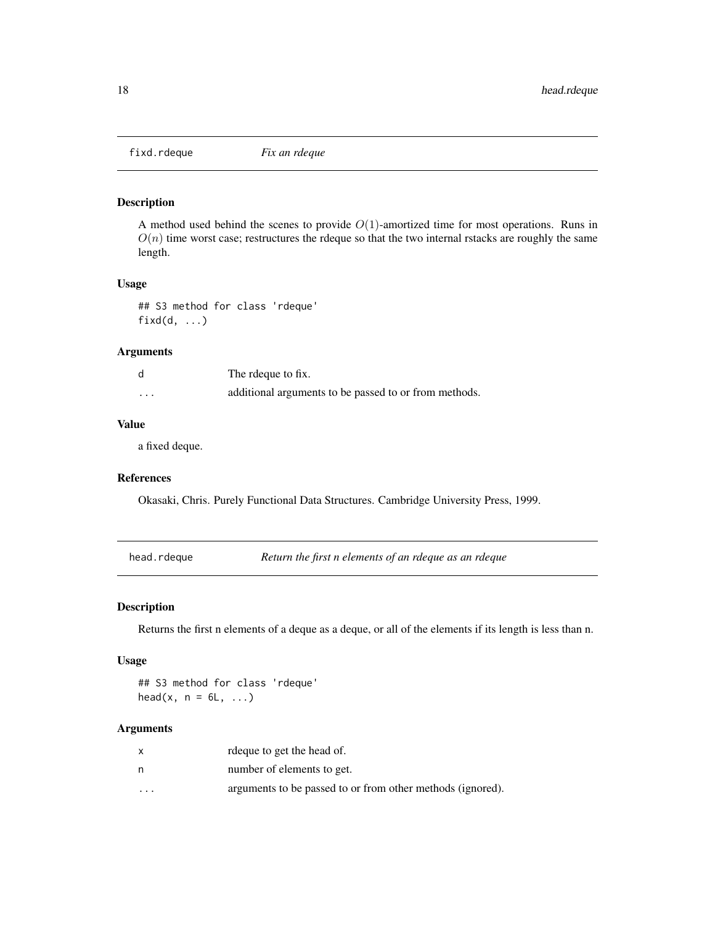<span id="page-17-0"></span>

A method used behind the scenes to provide  $O(1)$ -amortized time for most operations. Runs in  $O(n)$  time worst case; restructures the rdeque so that the two internal rstacks are roughly the same length.

#### Usage

## S3 method for class 'rdeque' fixd(d, ...)

#### Arguments

|   | The rdeque to fix.                                    |
|---|-------------------------------------------------------|
| . | additional arguments to be passed to or from methods. |

### Value

a fixed deque.

#### References

Okasaki, Chris. Purely Functional Data Structures. Cambridge University Press, 1999.

head.rdeque *Return the first n elements of an rdeque as an rdeque*

#### Description

Returns the first n elements of a deque as a deque, or all of the elements if its length is less than n.

### Usage

## S3 method for class 'rdeque' head(x,  $n = 6L, ...$ )

#### Arguments

|         | rdeque to get the head of.                                 |
|---------|------------------------------------------------------------|
| n       | number of elements to get.                                 |
| $\cdot$ | arguments to be passed to or from other methods (ignored). |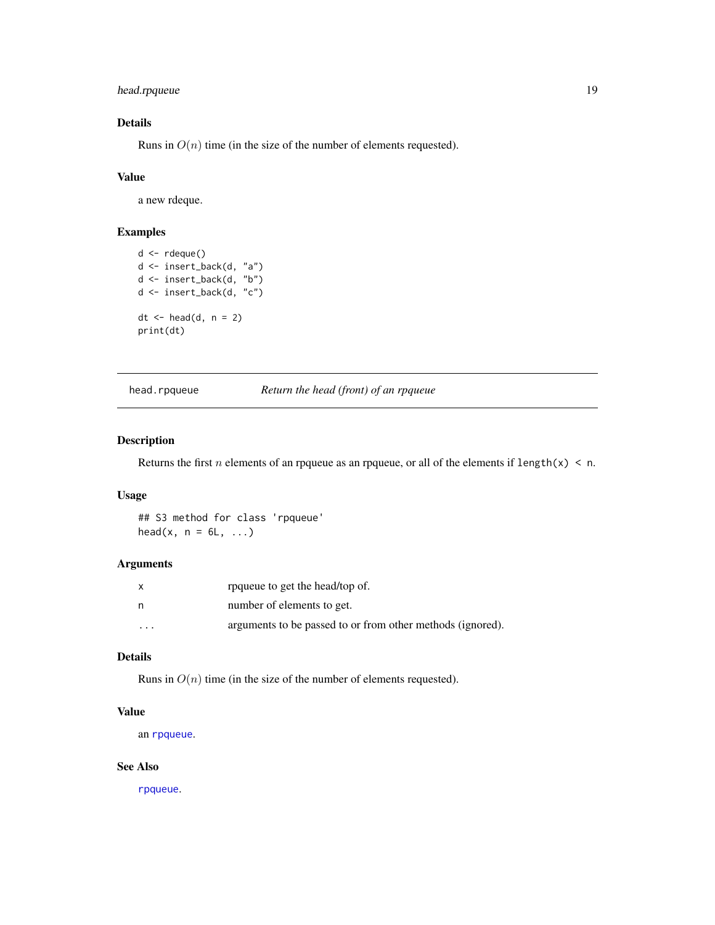### <span id="page-18-0"></span>head.rpqueue 19

### Details

Runs in  $O(n)$  time (in the size of the number of elements requested).

### Value

a new rdeque.

### Examples

```
d <- rdeque()
d <- insert_back(d, "a")
d <- insert_back(d, "b")
d <- insert_back(d, "c")
dt <- head(d, n = 2)
print(dt)
```
head.rpqueue *Return the head (front) of an rpqueue*

### Description

Returns the first *n* elements of an rpqueue as an rpqueue, or all of the elements if length(x)  $\leq$  n.

### Usage

## S3 method for class 'rpqueue' head(x,  $n = 6L, ...$ )

#### Arguments

| X        | rpqueue to get the head/top of.                            |
|----------|------------------------------------------------------------|
| n        | number of elements to get.                                 |
| $\cdots$ | arguments to be passed to or from other methods (ignored). |

### Details

Runs in  $O(n)$  time (in the size of the number of elements requested).

#### Value

an [rpqueue](#page-49-1).

### See Also

[rpqueue](#page-49-1).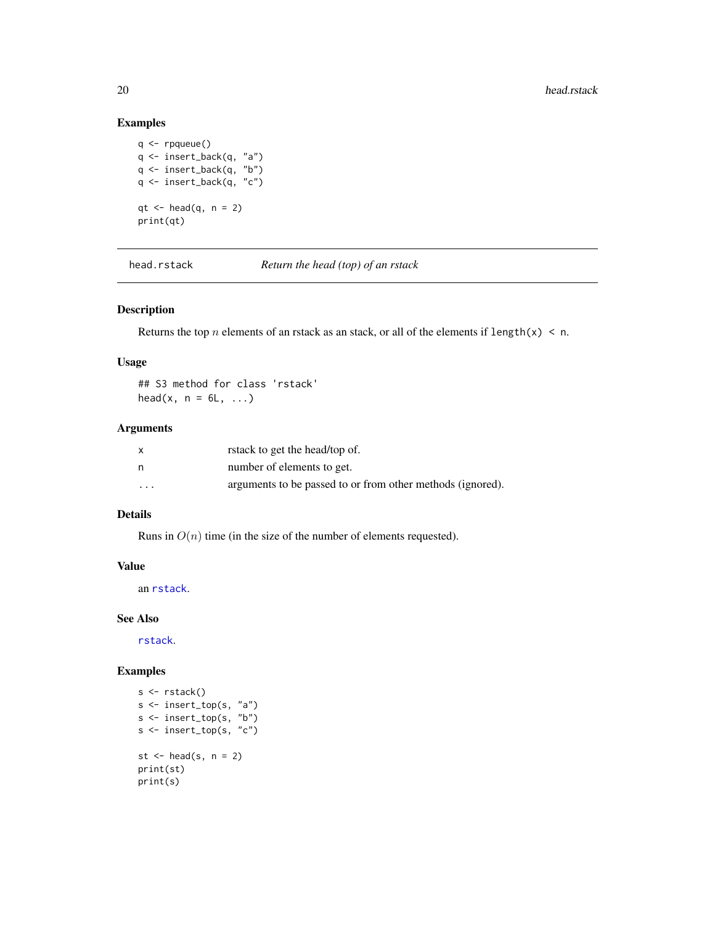### Examples

```
q \leftarrow rpqueue()
q <- insert_back(q, "a")
q <- insert_back(q, "b")
q <- insert_back(q, "c")
qt < - head(q, n = 2)print(qt)
```
head.rstack *Return the head (top) of an rstack*

### Description

Returns the top *n* elements of an rstack as an stack, or all of the elements if length(x) < n.

### Usage

## S3 method for class 'rstack' head(x,  $n = 6L, ...$ )

#### Arguments

| x       | rstack to get the head/top of.                             |
|---------|------------------------------------------------------------|
| n       | number of elements to get.                                 |
| $\cdot$ | arguments to be passed to or from other methods (ignored). |

### Details

Runs in  $O(n)$  time (in the size of the number of elements requested).

### Value

an [rstack](#page-50-1).

#### See Also

[rstack](#page-50-1).

```
s <- rstack()
s <- insert_top(s, "a")
s <- insert_top(s, "b")
s <- insert_top(s, "c")
st \leftarrow head(s, n = 2)
print(st)
print(s)
```
<span id="page-19-0"></span>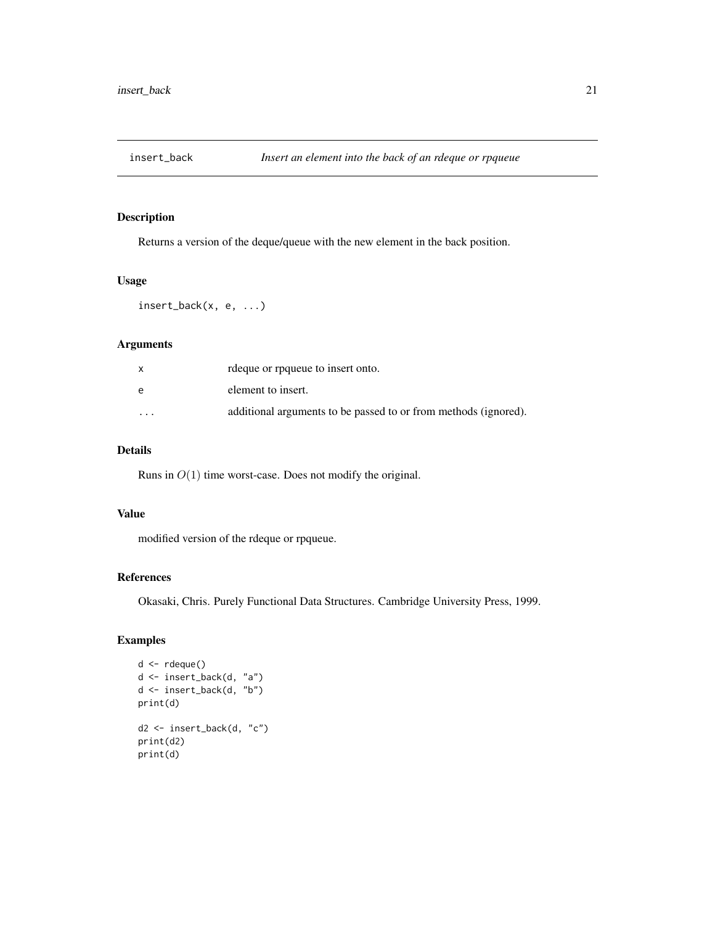<span id="page-20-1"></span><span id="page-20-0"></span>

Returns a version of the deque/queue with the new element in the back position.

#### Usage

insert\_back(x, e, ...)

### Arguments

|                         | redeque or request to insert onto.                              |
|-------------------------|-----------------------------------------------------------------|
| e                       | element to insert.                                              |
| $\cdot$ $\cdot$ $\cdot$ | additional arguments to be passed to or from methods (ignored). |

### Details

Runs in  $O(1)$  time worst-case. Does not modify the original.

### Value

modified version of the rdeque or rpqueue.

### References

Okasaki, Chris. Purely Functional Data Structures. Cambridge University Press, 1999.

```
d <- rdeque()
d <- insert_back(d, "a")
d \leq insert_back(d, "b")
print(d)
d2 <- insert_back(d, "c")
print(d2)
print(d)
```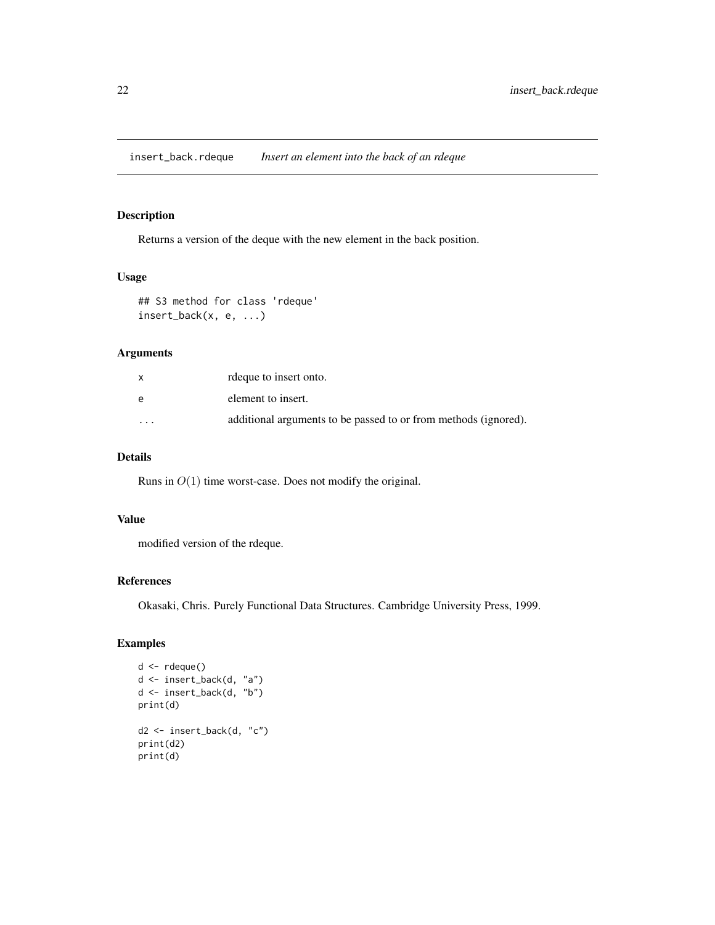<span id="page-21-0"></span>insert\_back.rdeque *Insert an element into the back of an rdeque*

### Description

Returns a version of the deque with the new element in the back position.

### Usage

```
## S3 method for class 'rdeque'
insert_back(x, e, ...)
```
### Arguments

| $\mathsf{x}$            | rdeque to insert onto.                                          |
|-------------------------|-----------------------------------------------------------------|
| e                       | element to insert.                                              |
| $\cdot$ $\cdot$ $\cdot$ | additional arguments to be passed to or from methods (ignored). |

### Details

Runs in  $O(1)$  time worst-case. Does not modify the original.

#### Value

modified version of the rdeque.

### References

Okasaki, Chris. Purely Functional Data Structures. Cambridge University Press, 1999.

```
d <- rdeque()
d <- insert_back(d, "a")
d <- insert_back(d, "b")
print(d)
d2 <- insert_back(d, "c")
print(d2)
print(d)
```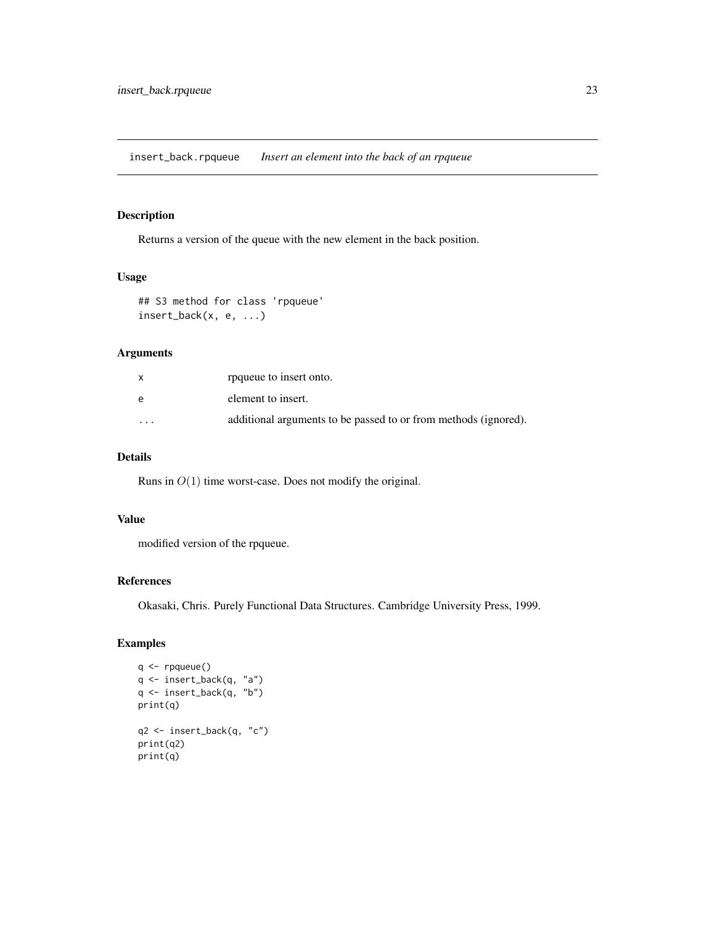<span id="page-22-0"></span>insert\_back.rpqueue *Insert an element into the back of an rpqueue*

### Description

Returns a version of the queue with the new element in the back position.

### Usage

```
## S3 method for class 'rpqueue'
insert_back(x, e, ...)
```
### Arguments

| $\mathsf{x}$ | roqueue to insert onto.                                         |
|--------------|-----------------------------------------------------------------|
| e            | element to insert.                                              |
| $\cdot$      | additional arguments to be passed to or from methods (ignored). |

### Details

Runs in  $O(1)$  time worst-case. Does not modify the original.

#### Value

modified version of the rpqueue.

### References

Okasaki, Chris. Purely Functional Data Structures. Cambridge University Press, 1999.

```
q <- rpqueue()
q <- insert_back(q, "a")
q <- insert_back(q, "b")
print(q)
q2 <- insert_back(q, "c")
print(q2)
print(q)
```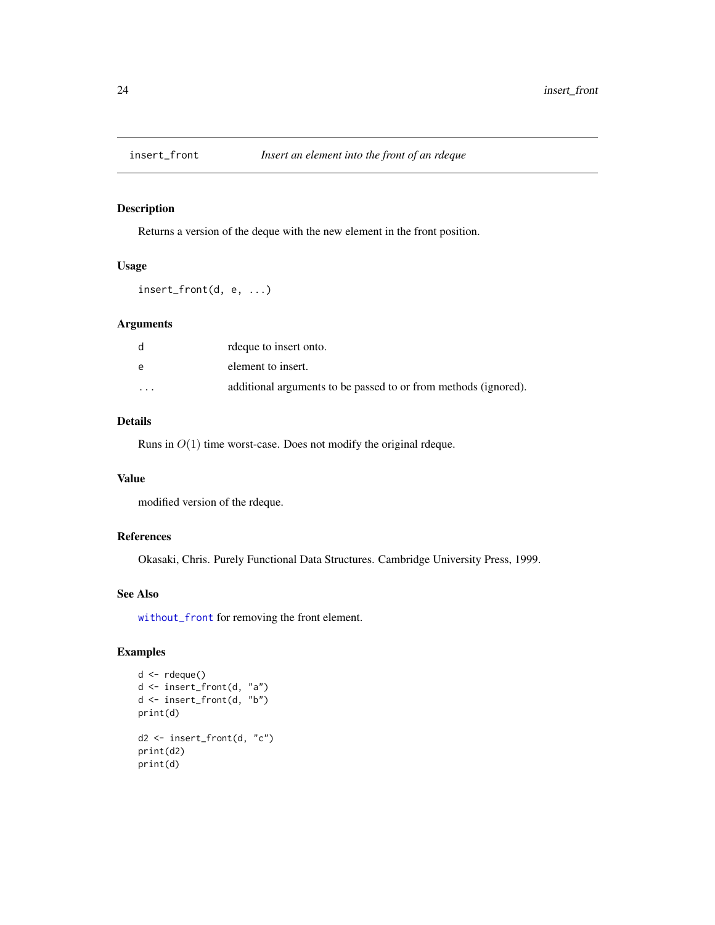<span id="page-23-1"></span><span id="page-23-0"></span>

Returns a version of the deque with the new element in the front position.

### Usage

insert\_front(d, e, ...)

### Arguments

|          | rdeque to insert onto.                                          |
|----------|-----------------------------------------------------------------|
| e        | element to insert.                                              |
| $\cdots$ | additional arguments to be passed to or from methods (ignored). |

### Details

Runs in  $O(1)$  time worst-case. Does not modify the original rdeque.

### Value

modified version of the rdeque.

#### References

Okasaki, Chris. Purely Functional Data Structures. Cambridge University Press, 1999.

### See Also

[without\\_front](#page-54-1) for removing the front element.

```
d <- rdeque()
d <- insert_front(d, "a")
d <- insert_front(d, "b")
print(d)
d2 <- insert_front(d, "c")
print(d2)
print(d)
```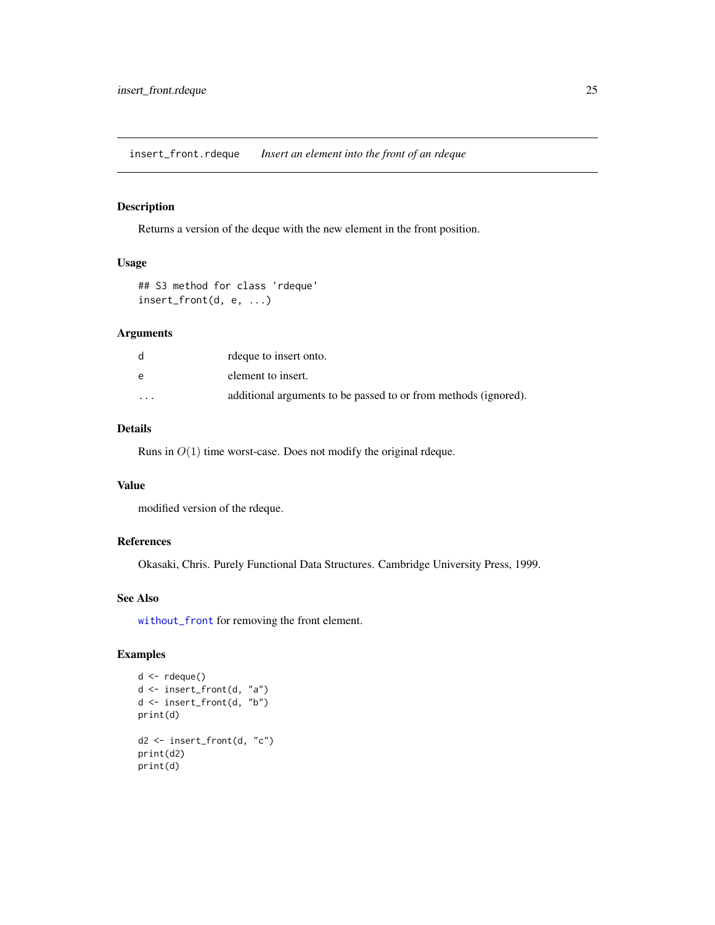<span id="page-24-0"></span>insert\_front.rdeque *Insert an element into the front of an rdeque*

### Description

Returns a version of the deque with the new element in the front position.

### Usage

```
## S3 method for class 'rdeque'
insert_front(d, e, ...)
```
### Arguments

|          | rdeque to insert onto.                                          |
|----------|-----------------------------------------------------------------|
| e        | element to insert.                                              |
| $\cdots$ | additional arguments to be passed to or from methods (ignored). |

### Details

Runs in  $O(1)$  time worst-case. Does not modify the original rdeque.

### Value

modified version of the rdeque.

#### References

Okasaki, Chris. Purely Functional Data Structures. Cambridge University Press, 1999.

### See Also

[without\\_front](#page-54-1) for removing the front element.

```
d \leftarrow rdeque()
d <- insert_front(d, "a")
d \leq insert_front(d, "b")
print(d)
d2 <- insert_front(d, "c")
print(d2)
print(d)
```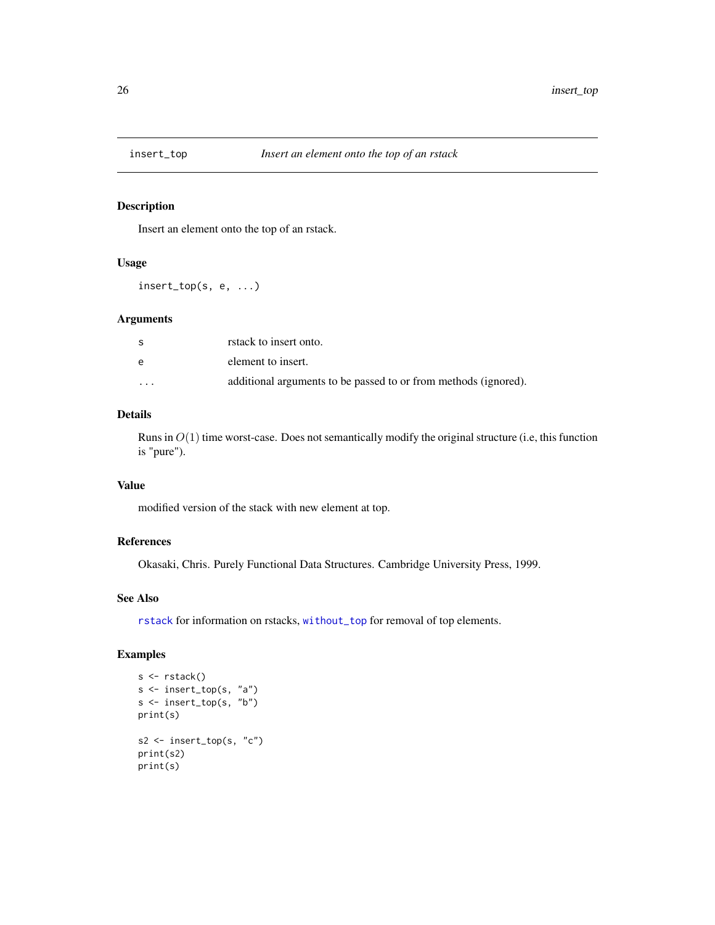<span id="page-25-1"></span><span id="page-25-0"></span>

Insert an element onto the top of an rstack.

### Usage

insert\_top(s, e, ...)

#### Arguments

| -S                      | rstack to insert onto.                                          |
|-------------------------|-----------------------------------------------------------------|
| e                       | element to insert.                                              |
| $\cdot$ $\cdot$ $\cdot$ | additional arguments to be passed to or from methods (ignored). |

### Details

Runs in  $O(1)$  time worst-case. Does not semantically modify the original structure (i.e, this function is "pure").

#### Value

modified version of the stack with new element at top.

#### References

Okasaki, Chris. Purely Functional Data Structures. Cambridge University Press, 1999.

### See Also

[rstack](#page-50-1) for information on rstacks, [without\\_top](#page-57-1) for removal of top elements.

```
s <- rstack()
s <- insert_top(s, "a")
s \leq insert_top(s, "b")
print(s)
s2 <- insert_top(s, "c")
print(s2)
print(s)
```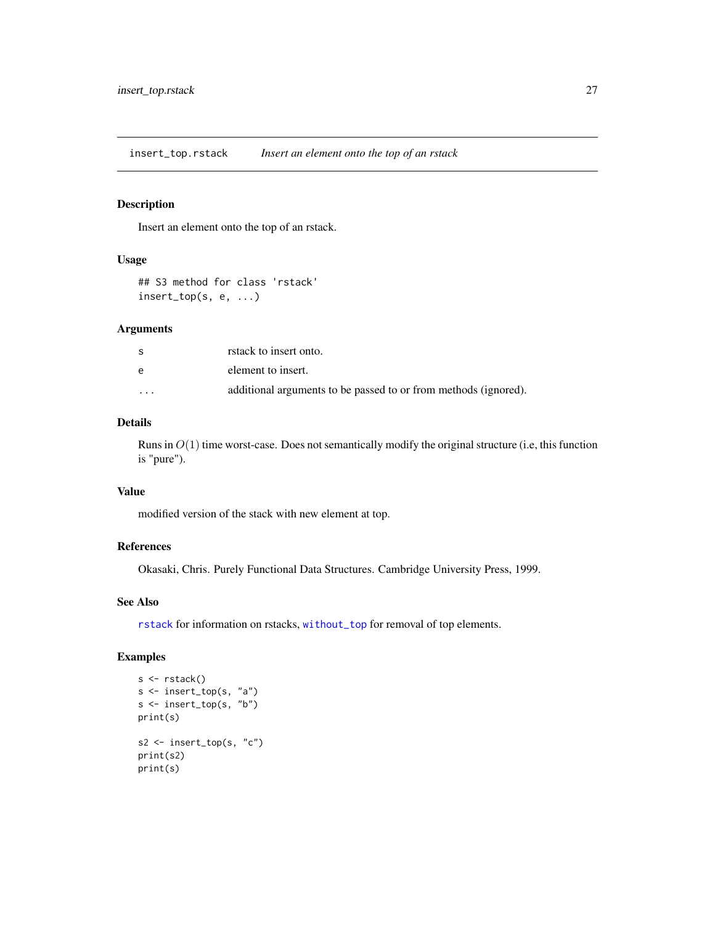<span id="page-26-0"></span>insert\_top.rstack *Insert an element onto the top of an rstack*

### Description

Insert an element onto the top of an rstack.

### Usage

## S3 method for class 'rstack' insert\_top(s, e, ...)

#### Arguments

| S                       | rstack to insert onto.                                          |
|-------------------------|-----------------------------------------------------------------|
| e                       | element to insert.                                              |
| $\cdot$ $\cdot$ $\cdot$ | additional arguments to be passed to or from methods (ignored). |

### Details

Runs in  $O(1)$  time worst-case. Does not semantically modify the original structure (i.e, this function is "pure").

### Value

modified version of the stack with new element at top.

### References

Okasaki, Chris. Purely Functional Data Structures. Cambridge University Press, 1999.

### See Also

[rstack](#page-50-1) for information on rstacks, [without\\_top](#page-57-1) for removal of top elements.

```
s <- rstack()
s <- insert_top(s, "a")
s <- insert_top(s, "b")
print(s)
s2 <- insert_top(s, "c")
print(s2)
print(s)
```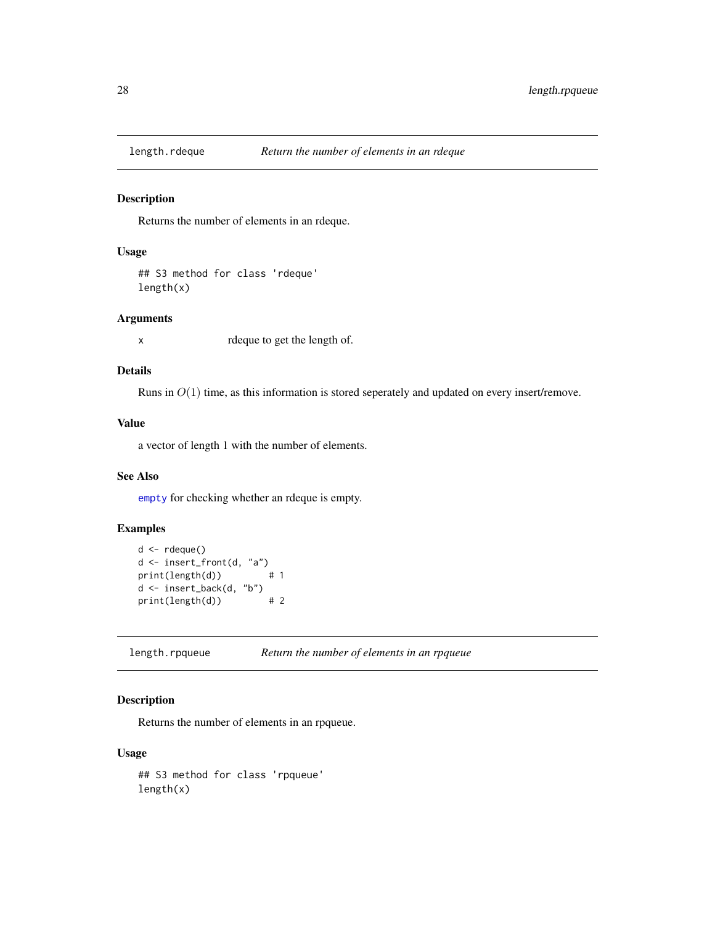<span id="page-27-0"></span>

Returns the number of elements in an rdeque.

#### Usage

## S3 method for class 'rdeque' length(x)

### Arguments

x rdeque to get the length of.

### Details

Runs in  $O(1)$  time, as this information is stored seperately and updated on every insert/remove.

### Value

a vector of length 1 with the number of elements.

### See Also

[empty](#page-13-1) for checking whether an rdeque is empty.

### Examples

```
d \leftarrow rdeque()
d <- insert_front(d, "a")
print(length(d)) # 1
d <- insert_back(d, "b")
print(length(d)) # 2
```
length.rpqueue *Return the number of elements in an rpqueue*

### Description

Returns the number of elements in an rpqueue.

### Usage

## S3 method for class 'rpqueue' length(x)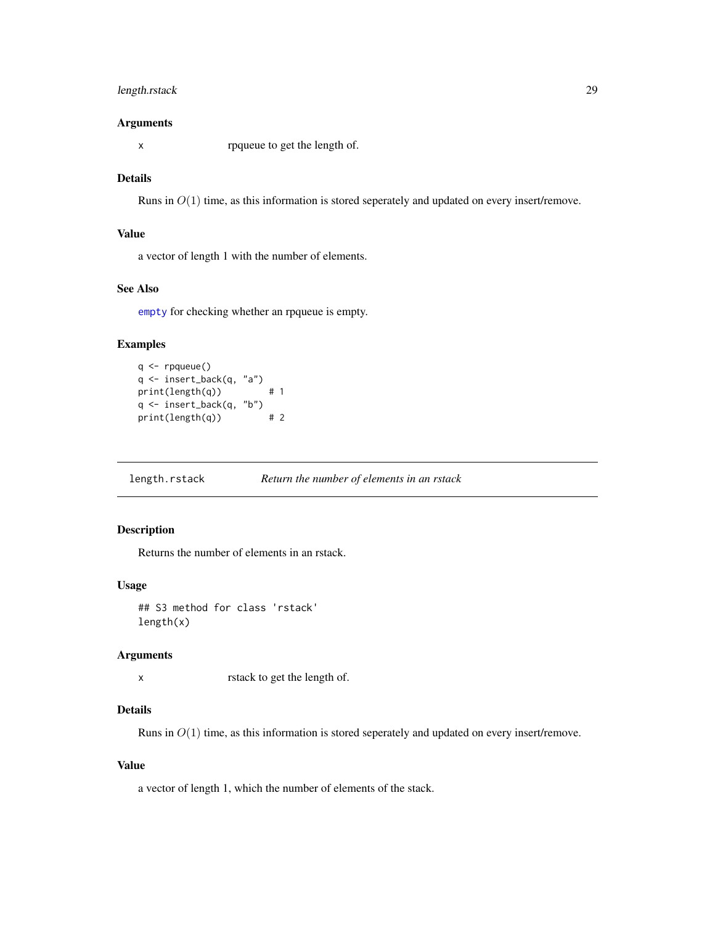### <span id="page-28-0"></span>length.rstack 29

#### Arguments

x rpqueue to get the length of.

#### Details

Runs in  $O(1)$  time, as this information is stored seperately and updated on every insert/remove.

### Value

a vector of length 1 with the number of elements.

### See Also

[empty](#page-13-1) for checking whether an rpqueue is empty.

#### Examples

```
q \leftarrow rpqueue()
q <- insert_back(q, "a")
print(length(q)) # 1
q <- insert_back(q, "b")<br>print(length(q)) # 2
print(length(q))
```
length.rstack *Return the number of elements in an rstack*

### Description

Returns the number of elements in an rstack.

#### Usage

## S3 method for class 'rstack' length(x)

### Arguments

x rstack to get the length of.

### Details

Runs in  $O(1)$  time, as this information is stored seperately and updated on every insert/remove.

### Value

a vector of length 1, which the number of elements of the stack.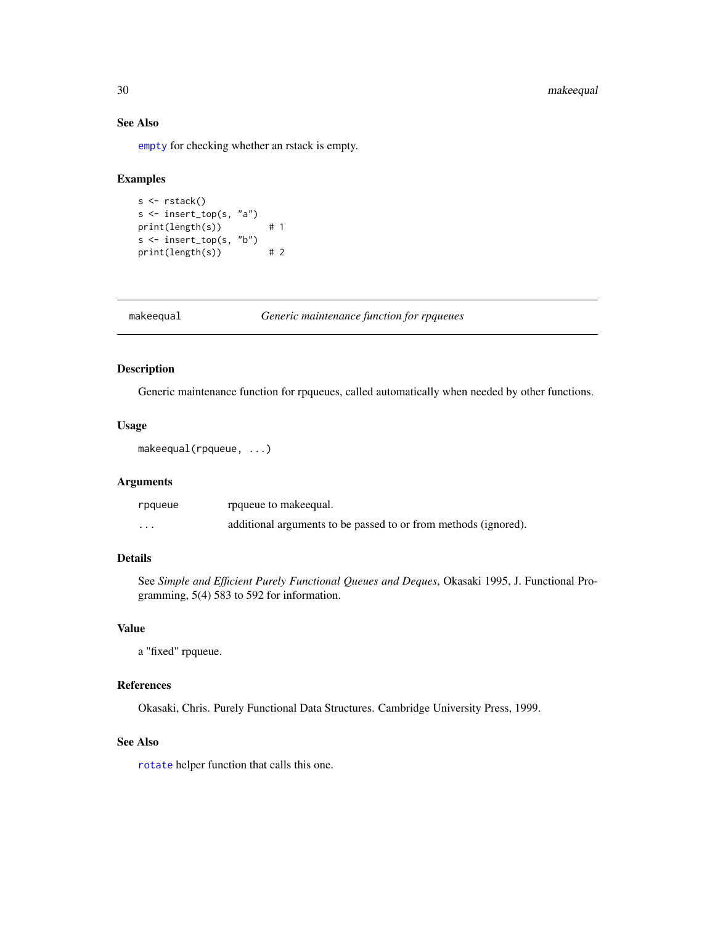### <span id="page-29-0"></span>30 makeequal

### See Also

[empty](#page-13-1) for checking whether an rstack is empty.

### Examples

```
s <- rstack()
s <- insert_top(s, "a")
print(length(s)) # 1
s <- insert_top(s, "b")
print(length(s)) # 2
```
<span id="page-29-1"></span>makeequal *Generic maintenance function for rpqueues*

### Description

Generic maintenance function for rpqueues, called automatically when needed by other functions.

#### Usage

```
makeequal(rpqueue, ...)
```
### Arguments

| rpqueue  | rpqueue to makeequal.                                           |
|----------|-----------------------------------------------------------------|
| $\cdots$ | additional arguments to be passed to or from methods (ignored). |

### Details

See *Simple and Efficient Purely Functional Queues and Deques*, Okasaki 1995, J. Functional Programming, 5(4) 583 to 592 for information.

#### Value

a "fixed" rpqueue.

#### References

Okasaki, Chris. Purely Functional Data Structures. Cambridge University Press, 1999.

### See Also

[rotate](#page-48-1) helper function that calls this one.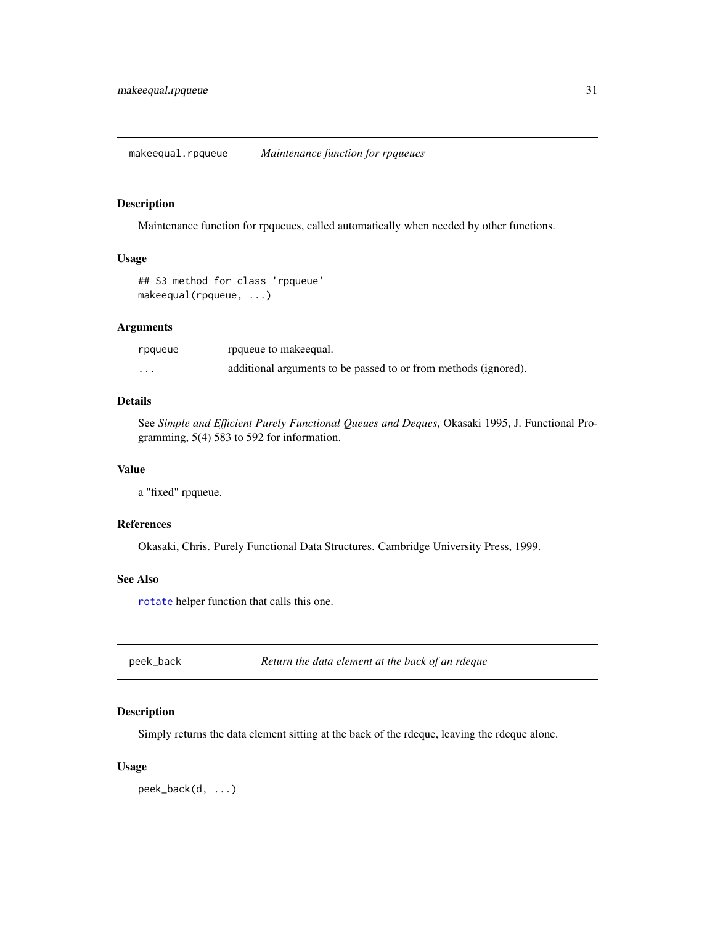<span id="page-30-0"></span>makeequal.rpqueue *Maintenance function for rpqueues*

#### Description

Maintenance function for rpqueues, called automatically when needed by other functions.

### Usage

```
## S3 method for class 'rpqueue'
makeequal(rpqueue, ...)
```
### Arguments

| rpqueue | rpqueue to make equal.                                          |
|---------|-----------------------------------------------------------------|
| $\cdot$ | additional arguments to be passed to or from methods (ignored). |

#### Details

See *Simple and Efficient Purely Functional Queues and Deques*, Okasaki 1995, J. Functional Programming, 5(4) 583 to 592 for information.

### Value

a "fixed" rpqueue.

#### References

Okasaki, Chris. Purely Functional Data Structures. Cambridge University Press, 1999.

### See Also

[rotate](#page-48-1) helper function that calls this one.

<span id="page-30-1"></span>peek\_back *Return the data element at the back of an rdeque*

### Description

Simply returns the data element sitting at the back of the rdeque, leaving the rdeque alone.

#### Usage

peek\_back(d, ...)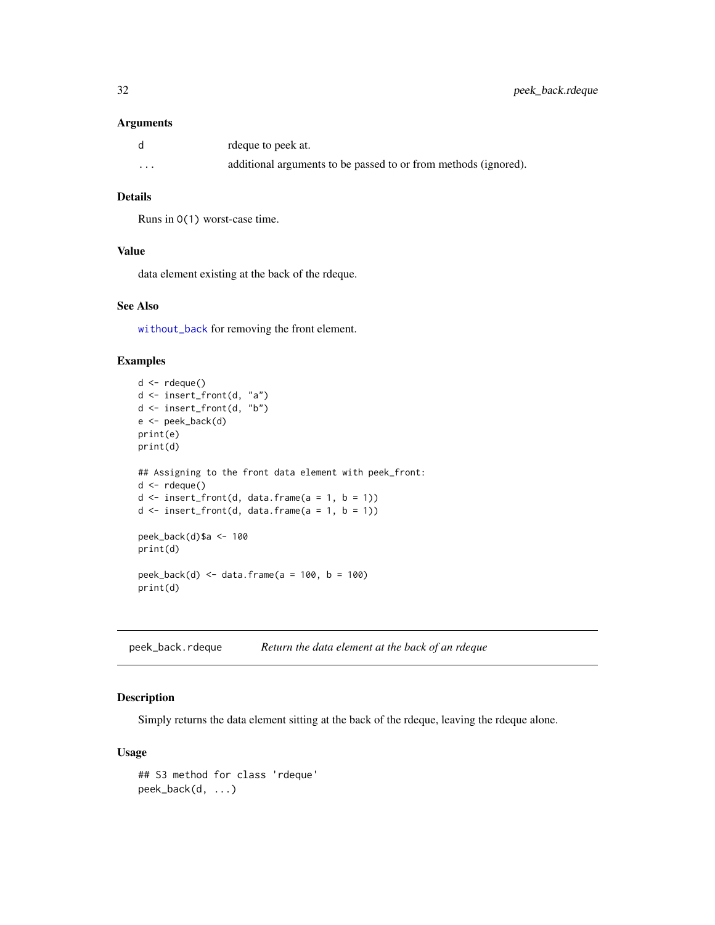#### <span id="page-31-0"></span>Arguments

| d       | rdeque to peek at.                                              |
|---------|-----------------------------------------------------------------|
| $\cdot$ | additional arguments to be passed to or from methods (ignored). |

### Details

Runs in O(1) worst-case time.

### Value

data element existing at the back of the rdeque.

### See Also

[without\\_back](#page-52-1) for removing the front element.

### Examples

```
d <- rdeque()
d <- insert_front(d, "a")
d <- insert_front(d, "b")
e <- peek_back(d)
print(e)
print(d)
## Assigning to the front data element with peek_front:
d <- rdeque()
d \leq insert_front(d, data.frame(a = 1, b = 1))
d \leq insert_front(d, data.frame(a = 1, b = 1))
peek_back(d)$a <- 100
print(d)
peek_back(d) <- data.frame(a = 100, b = 100)
print(d)
```
<span id="page-31-1"></span>peek\_back.rdeque *Return the data element at the back of an rdeque*

### Description

Simply returns the data element sitting at the back of the rdeque, leaving the rdeque alone.

### Usage

```
## S3 method for class 'rdeque'
peek_back(d, ...)
```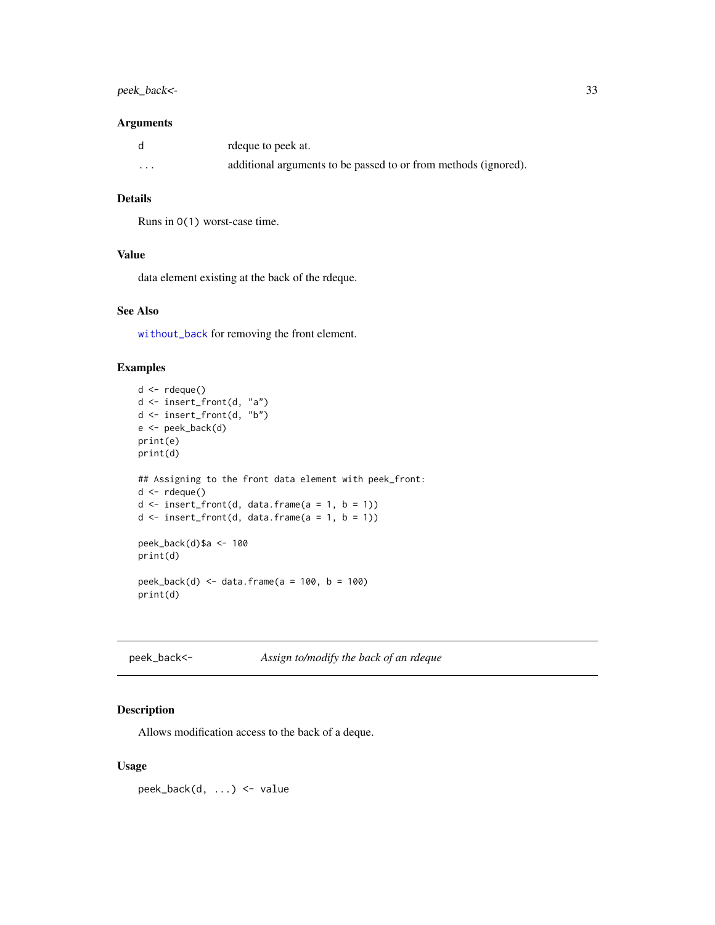### <span id="page-32-0"></span>peek\_back<- 33

#### Arguments

|          | rdeque to peek at.                                              |
|----------|-----------------------------------------------------------------|
| $\cdots$ | additional arguments to be passed to or from methods (ignored). |

### Details

Runs in O(1) worst-case time.

### Value

data element existing at the back of the rdeque.

#### See Also

[without\\_back](#page-52-1) for removing the front element.

### Examples

```
d <- rdeque()
d <- insert_front(d, "a")
d <- insert_front(d, "b")
e <- peek_back(d)
print(e)
print(d)
## Assigning to the front data element with peek_front:
d \leftarrow rdeque()
d \leq insert_front(d, data.frame(a = 1, b = 1))
d \leq insert_front(d, data.frame(a = 1, b = 1))
peek_back(d)$a <- 100
print(d)
peek_back(d) <- data.frame(a = 100, b = 100)
print(d)
```

| peek_back<- | Assign to/modify the back of an rdeque |  |
|-------------|----------------------------------------|--|
|             |                                        |  |

### Description

Allows modification access to the back of a deque.

### Usage

peek\_back(d, ...) <- value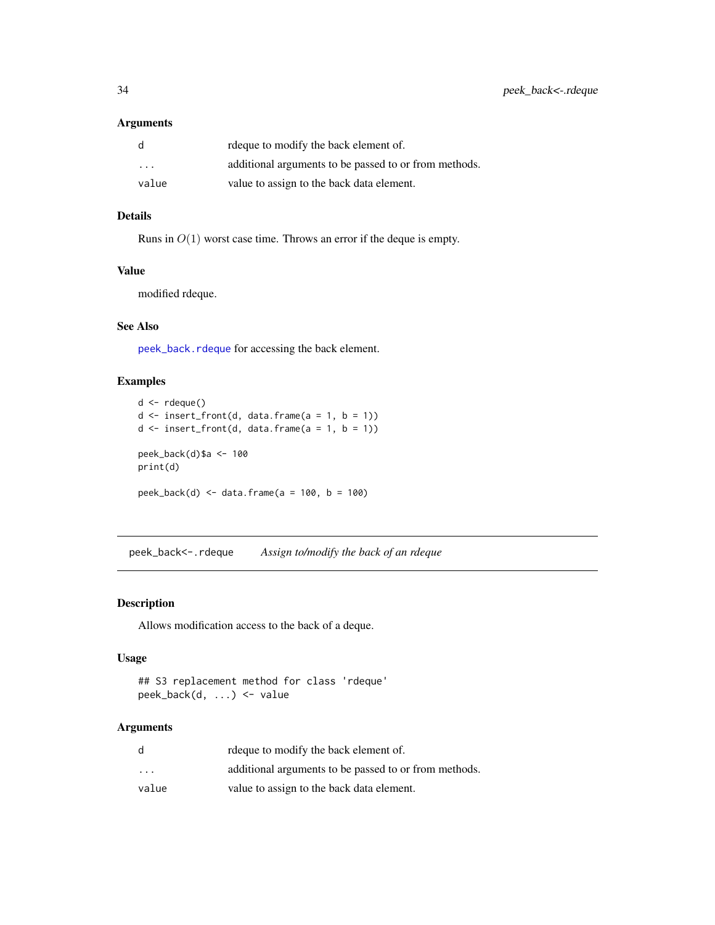### <span id="page-33-0"></span>Arguments

| d     | rdeque to modify the back element of.                 |
|-------|-------------------------------------------------------|
| .     | additional arguments to be passed to or from methods. |
| value | value to assign to the back data element.             |

#### Details

Runs in  $O(1)$  worst case time. Throws an error if the deque is empty.

### Value

modified rdeque.

### See Also

[peek\\_back.rdeque](#page-31-1) for accessing the back element.

### Examples

```
d \leftarrow rdeque()
d \leq insert_front(d, data.frame(a = 1, b = 1))
d \leq insert_front(d, data.frame(a = 1, b = 1))
peek_back(d)$a <- 100
print(d)
peek_back(d) <- data.frame(a = 100, b = 100)
```
peek\_back<-.rdeque *Assign to/modify the back of an rdeque*

### Description

Allows modification access to the back of a deque.

### Usage

```
## S3 replacement method for class 'rdeque'
peek_back(d, ...) <- value
```
### Arguments

| d                       | rdeque to modify the back element of.                 |
|-------------------------|-------------------------------------------------------|
| $\cdot$ $\cdot$ $\cdot$ | additional arguments to be passed to or from methods. |
| value                   | value to assign to the back data element.             |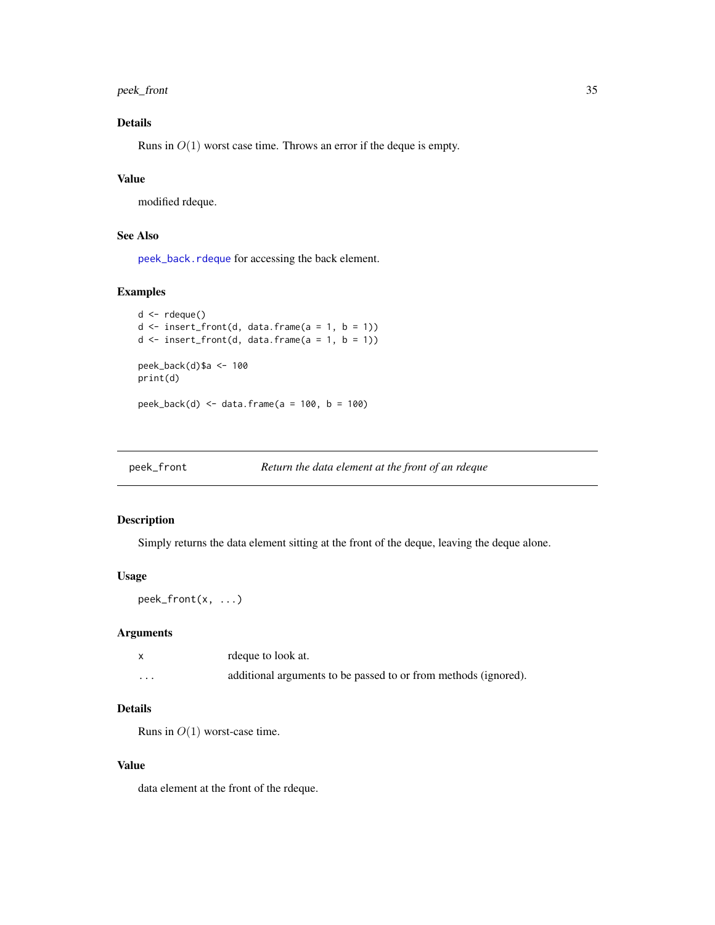<span id="page-34-0"></span>peek\_front 35

### Details

Runs in  $O(1)$  worst case time. Throws an error if the deque is empty.

### Value

modified rdeque.

### See Also

[peek\\_back.rdeque](#page-31-1) for accessing the back element.

### Examples

```
d <- rdeque()
d \leq insert_front(d, data.frame(a = 1, b = 1))
d \leq insert_front(d, data.frame(a = 1, b = 1))
peek_back(d)$a <- 100
print(d)
peek_back(d) <- data.frame(a = 100, b = 100)
```
<span id="page-34-1"></span>

| peek_front | Return the data element at the front of an rdeque |
|------------|---------------------------------------------------|
|            |                                                   |

### Description

Simply returns the data element sitting at the front of the deque, leaving the deque alone.

#### Usage

peek\_front(x, ...)

### Arguments

|          | rdeque to look at.                                              |
|----------|-----------------------------------------------------------------|
| $\cdots$ | additional arguments to be passed to or from methods (ignored). |

### Details

Runs in  $O(1)$  worst-case time.

### Value

data element at the front of the rdeque.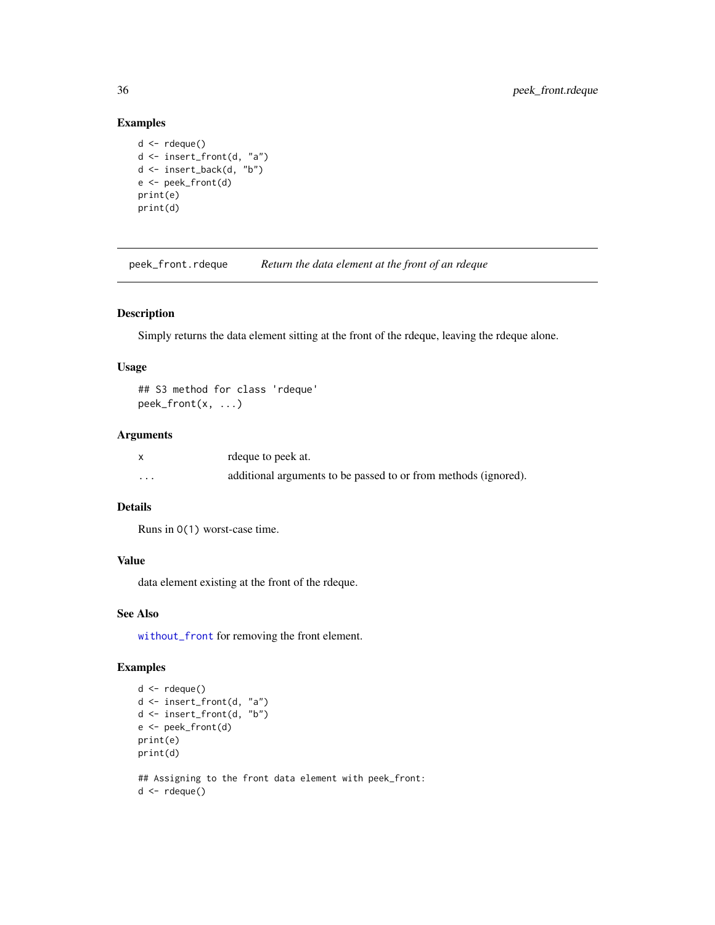### Examples

```
d \leftarrow rdeque()
d <- insert_front(d, "a")
d <- insert_back(d, "b")
e <- peek_front(d)
print(e)
print(d)
```
<span id="page-35-1"></span>peek\_front.rdeque *Return the data element at the front of an rdeque*

### Description

Simply returns the data element sitting at the front of the rdeque, leaving the rdeque alone.

### Usage

```
## S3 method for class 'rdeque'
peek_front(x, ...)
```
#### Arguments

|          | rdeque to peek at.                                              |
|----------|-----------------------------------------------------------------|
| $\cdots$ | additional arguments to be passed to or from methods (ignored). |

### Details

Runs in O(1) worst-case time.

### Value

data element existing at the front of the rdeque.

#### See Also

[without\\_front](#page-54-1) for removing the front element.

```
d \leftarrow rdeque()
d <- insert_front(d, "a")
d \leq insert_front(d, "b")
e <- peek_front(d)
print(e)
print(d)
## Assigning to the front data element with peek_front:
d \leftarrow rdeque()
```
<span id="page-35-0"></span>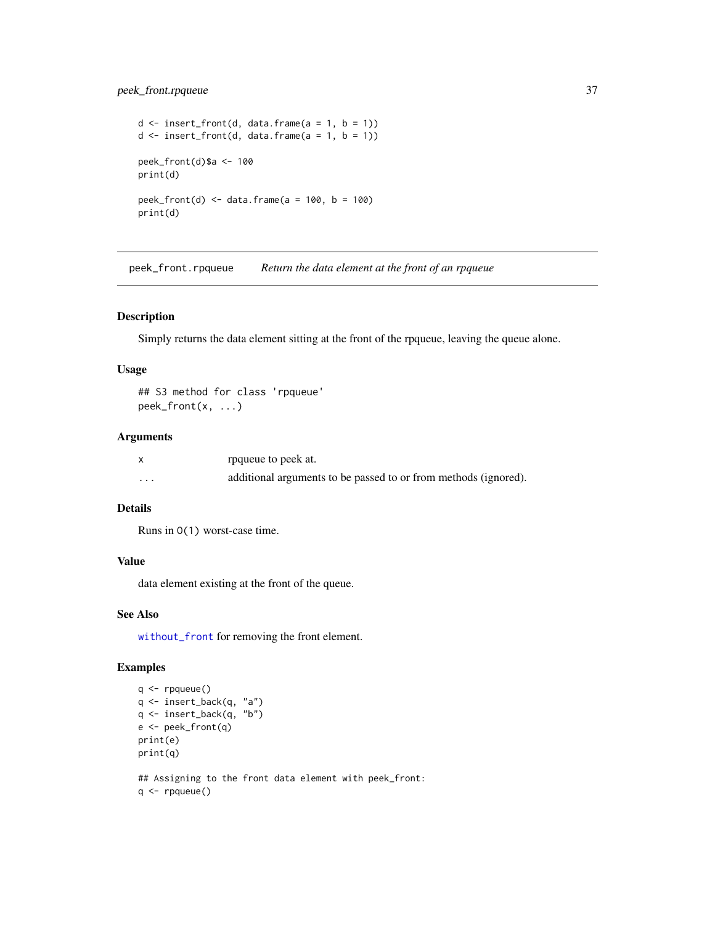### <span id="page-36-0"></span>peek\_front.rpqueue 37

```
d \leq insert_front(d, data.frame(a = 1, b = 1))
d \leq insert_front(d, data.frame(a = 1, b = 1))
peek_front(d)$a <- 100
print(d)
peek_front(d) <- data.frame(a = 100, b = 100)
print(d)
```
<span id="page-36-1"></span>peek\_front.rpqueue *Return the data element at the front of an rpqueue*

#### Description

Simply returns the data element sitting at the front of the rpqueue, leaving the queue alone.

#### Usage

```
## S3 method for class 'rpqueue'
peek_front(x, ...)
```
#### Arguments

|          | rpqueue to peek at.                                             |
|----------|-----------------------------------------------------------------|
| $\cdots$ | additional arguments to be passed to or from methods (ignored). |

### Details

Runs in O(1) worst-case time.

#### Value

data element existing at the front of the queue.

### See Also

[without\\_front](#page-54-1) for removing the front element.

```
q <- rpqueue()
q <- insert_back(q, "a")
q \leftarrow insert_back(q, "b")
e <- peek_front(q)
print(e)
print(q)
## Assigning to the front data element with peek_front:
q <- rpqueue()
```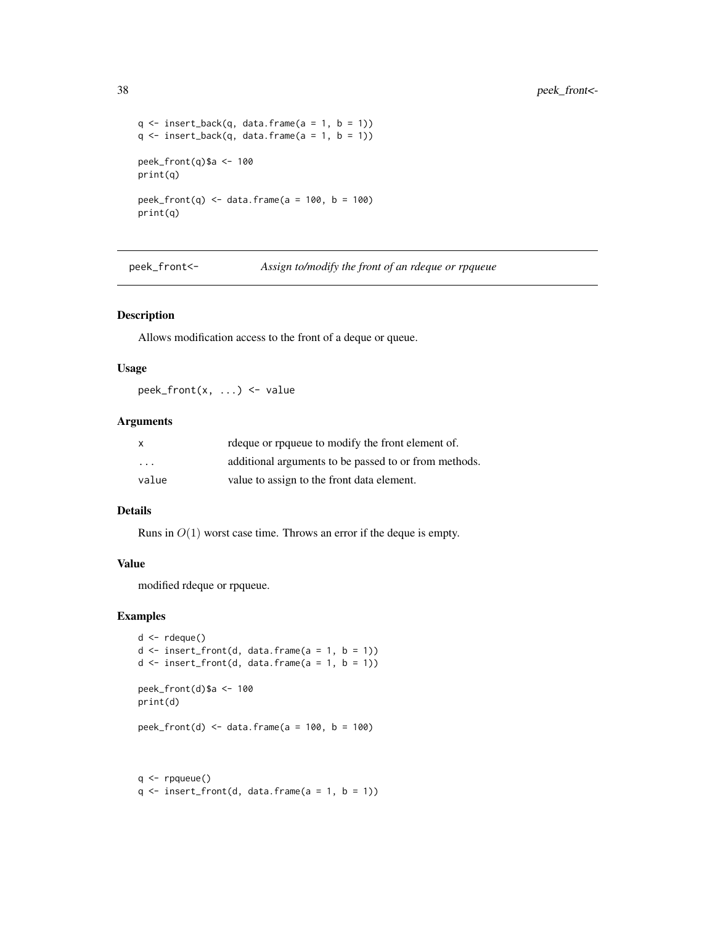```
q \leftarrow insert_back(q, data.frame(a = 1, b = 1))
q \leftarrow insert_back(q, data.frame(a = 1, b = 1))
peek_front(q)$a <- 100
print(q)
peek_front(q) \le data.frame(a = 100, b = 100)
print(q)
```
peek\_front<- *Assign to/modify the front of an rdeque or rpqueue*

### Description

Allows modification access to the front of a deque or queue.

#### Usage

peek\_front(x, ...) <- value

#### Arguments

| x                       | rdeque or rpqueue to modify the front element of.     |
|-------------------------|-------------------------------------------------------|
| $\cdot$ $\cdot$ $\cdot$ | additional arguments to be passed to or from methods. |
| value                   | value to assign to the front data element.            |

#### Details

Runs in  $O(1)$  worst case time. Throws an error if the deque is empty.

#### Value

modified rdeque or rpqueue.

```
d \leftarrow rdeque()
d \leq insert_front(d, data.frame(a = 1, b = 1))
d \leq insert_front(d, data.frame(a = 1, b = 1))
peek_front(d)$a <- 100
print(d)
peek_front(d) <- data.frame(a = 100, b = 100)
```

```
q \leftarrow rpqueue()
q \leftarrow insert_front(d, data.frame(a = 1, b = 1))
```
<span id="page-37-0"></span>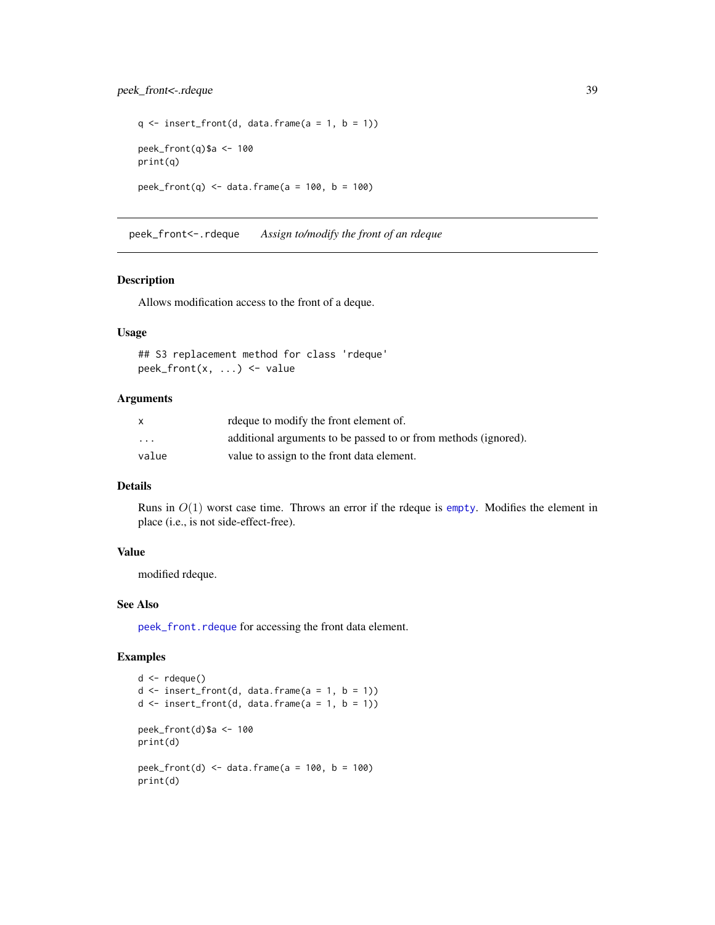### <span id="page-38-0"></span>peek\_front<-.rdeque 39

```
q \leftarrow insert_front(d, data.frame(a = 1, b = 1))
peek_front(q)$a <- 100
print(q)
peek_front(q) <- data.frame(a = 100, b = 100)
```
peek\_front<-.rdeque *Assign to/modify the front of an rdeque*

#### Description

Allows modification access to the front of a deque.

#### Usage

```
## S3 replacement method for class 'rdeque'
peek_front(x, ...) <- value
```
#### Arguments

| X       | request of modify the front element of.                         |
|---------|-----------------------------------------------------------------|
| $\cdot$ | additional arguments to be passed to or from methods (ignored). |
| value   | value to assign to the front data element.                      |

#### Details

Runs in  $O(1)$  worst case time. Throws an error if the rdeque is [empty](#page-13-1). Modifies the element in place (i.e., is not side-effect-free).

### Value

modified rdeque.

### See Also

[peek\\_front.rdeque](#page-35-1) for accessing the front data element.

```
d \leftarrow rdeque()
d \leq insert_front(d, data.frame(a = 1, b = 1))
d \leq insert_front(d, data.frame(a = 1, b = 1))
peek_front(d)$a <- 100
print(d)
peek_front(d) \le data.frame(a = 100, b = 100)
print(d)
```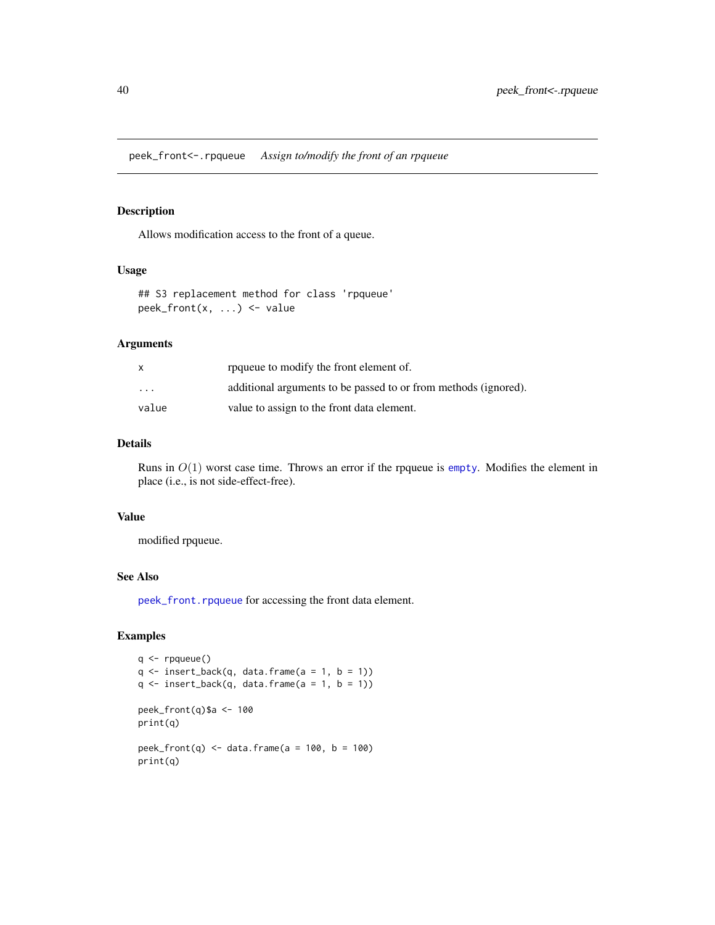<span id="page-39-0"></span>peek\_front<-.rpqueue *Assign to/modify the front of an rpqueue*

### **Description**

Allows modification access to the front of a queue.

### Usage

```
## S3 replacement method for class 'rpqueue'
peek_front(x, ...) <- value
```
#### Arguments

|          | roqueue to modify the front element of.                         |
|----------|-----------------------------------------------------------------|
| $\cdots$ | additional arguments to be passed to or from methods (ignored). |
| value    | value to assign to the front data element.                      |

### Details

Runs in  $O(1)$  worst case time. Throws an error if the rpqueue is [empty](#page-13-1). Modifies the element in place (i.e., is not side-effect-free).

#### Value

modified rpqueue.

### See Also

[peek\\_front.rpqueue](#page-36-1) for accessing the front data element.

```
q <- rpqueue()
q \leftarrow insert_back(q, data.frame(a = 1, b = 1))
q \leftarrow insert_back(q, data.frame(a = 1, b = 1))
peek_front(q)$a <- 100
print(q)
peek_front(q) <- data.frame(a = 100, b = 100)
print(q)
```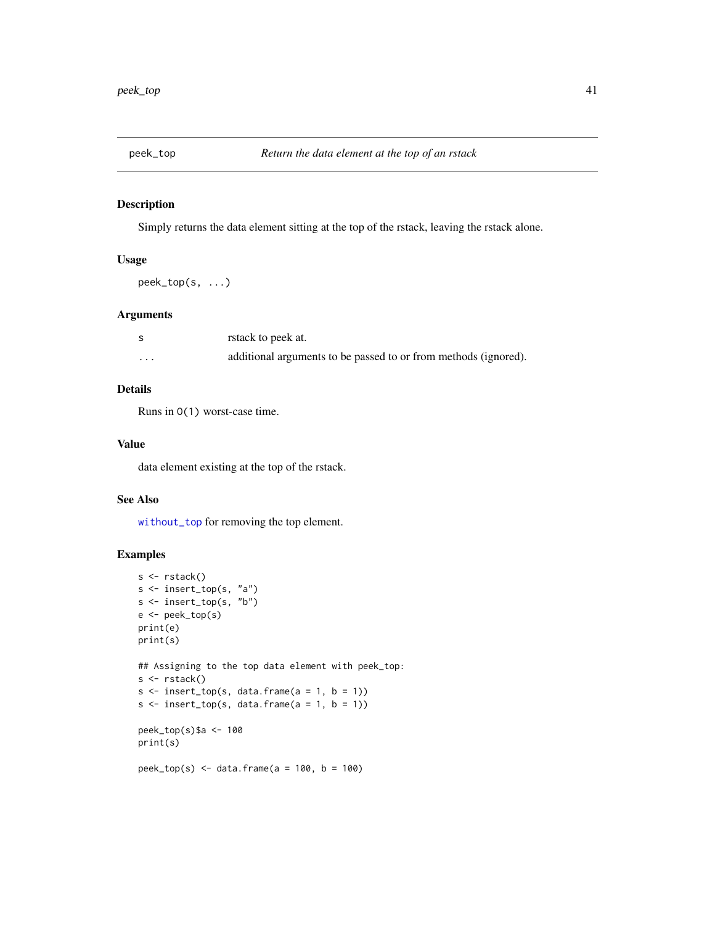<span id="page-40-1"></span><span id="page-40-0"></span>

Simply returns the data element sitting at the top of the rstack, leaving the rstack alone.

### Usage

peek\_top(s, ...)

#### Arguments

|          | rstack to peek at.                                              |
|----------|-----------------------------------------------------------------|
| $\cdots$ | additional arguments to be passed to or from methods (ignored). |

### Details

Runs in O(1) worst-case time.

### Value

data element existing at the top of the rstack.

#### See Also

[without\\_top](#page-57-1) for removing the top element.

```
s <- rstack()
s <- insert_top(s, "a")
s <- insert_top(s, "b")
e <- peek_top(s)
print(e)
print(s)
## Assigning to the top data element with peek_top:
s <- rstack()
s \leq insert_top(s, data.frame(a = 1, b = 1))
s \leq insert_top(s, data.frame(a = 1, b = 1))
peek_top(s)$a <- 100
print(s)
peek_top(s) <- data.frame(a = 100, b = 100)
```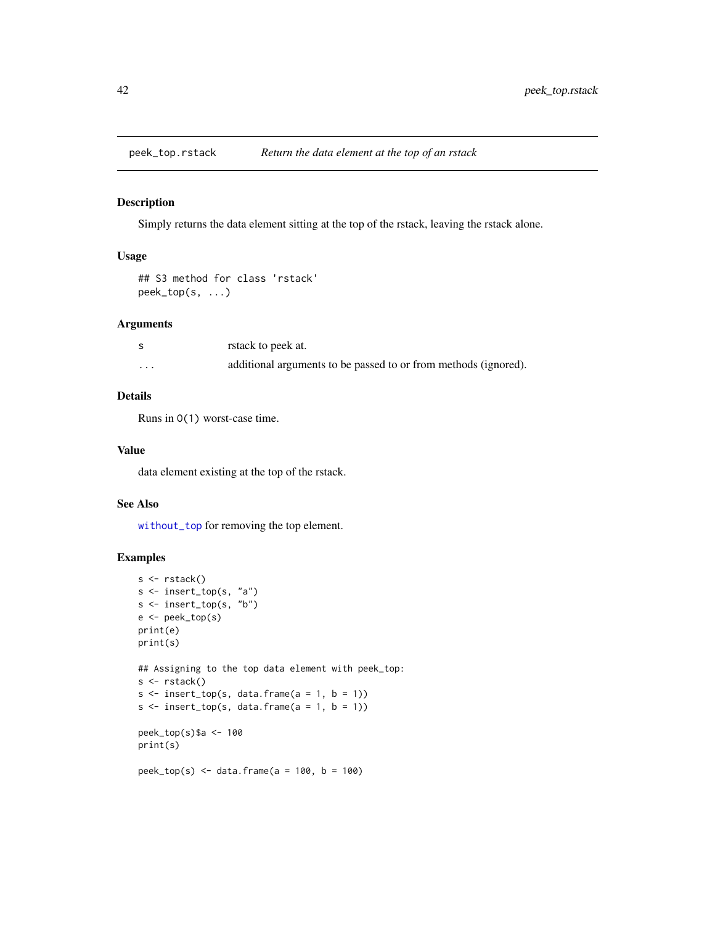<span id="page-41-0"></span>

Simply returns the data element sitting at the top of the rstack, leaving the rstack alone.

### Usage

```
## S3 method for class 'rstack'
peek_top(s, ...)
```
#### Arguments

|                         | rstack to peek at.                                              |
|-------------------------|-----------------------------------------------------------------|
| $\cdot$ $\cdot$ $\cdot$ | additional arguments to be passed to or from methods (ignored). |

#### Details

Runs in O(1) worst-case time.

### Value

data element existing at the top of the rstack.

#### See Also

[without\\_top](#page-57-1) for removing the top element.

```
s <- rstack()
s <- insert_top(s, "a")
s <- insert_top(s, "b")
e <- peek_top(s)
print(e)
print(s)
## Assigning to the top data element with peek_top:
s <- rstack()
s \leq insert_top(s, data.frame(a = 1, b = 1))
s \leftarrow insert_top(s, data.frame(a = 1, b = 1))
peek_top(s)$a <- 100
print(s)
peek_top(s) <- data.frame(a = 100, b = 100)
```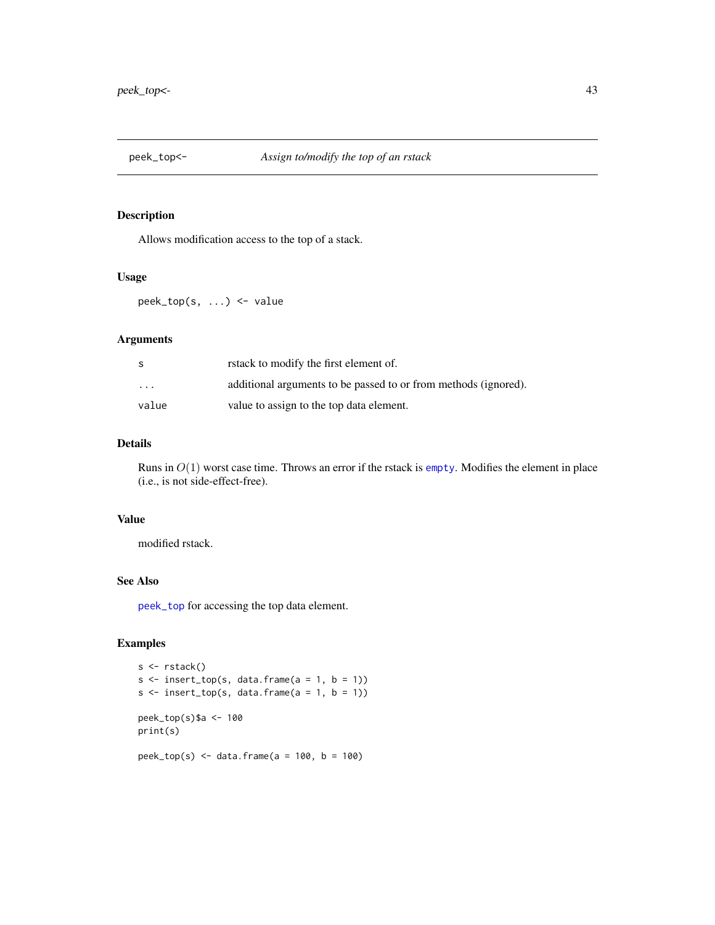<span id="page-42-0"></span>

Allows modification access to the top of a stack.

#### Usage

peek\_top(s, ...) <- value

### Arguments

| S.       | rstack to modify the first element of.                          |
|----------|-----------------------------------------------------------------|
| $\cdots$ | additional arguments to be passed to or from methods (ignored). |
| value    | value to assign to the top data element.                        |

### Details

Runs in  $O(1)$  worst case time. Throws an error if the rstack is [empty](#page-13-1). Modifies the element in place (i.e., is not side-effect-free).

#### Value

modified rstack.

#### See Also

[peek\\_top](#page-40-1) for accessing the top data element.

```
s <- rstack()
s \leq insert_top(s, data.frame(a = 1, b = 1))
s \leftarrow insert_top(s, data.frame(a = 1, b = 1))
peek_top(s)$a <- 100
print(s)
peek_top(s) <- data.frame(a = 100, b = 100)
```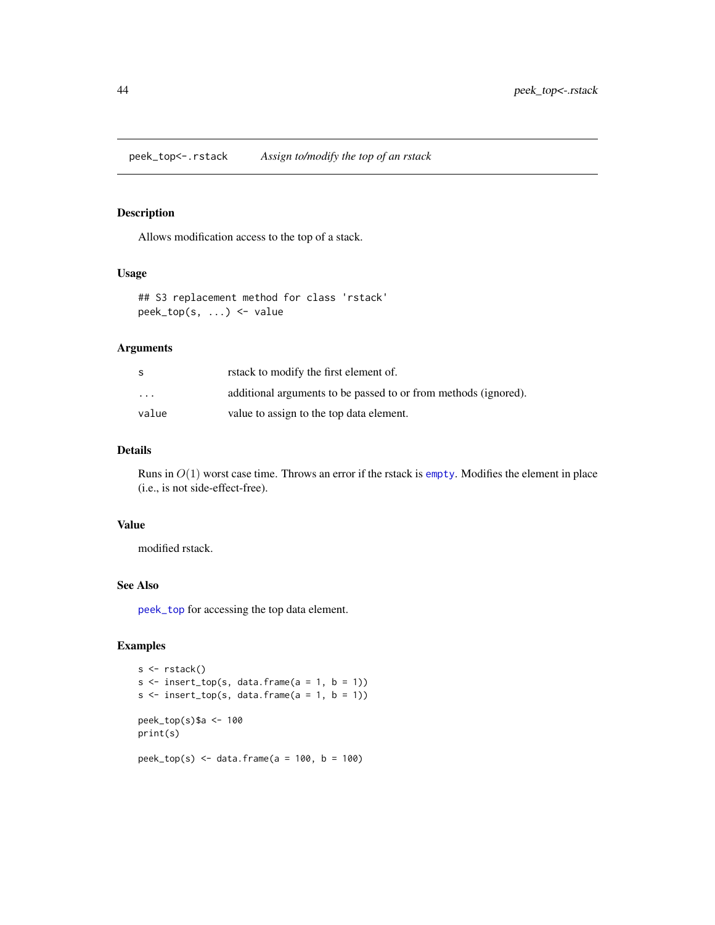<span id="page-43-0"></span>Allows modification access to the top of a stack.

#### Usage

```
## S3 replacement method for class 'rstack'
peek_top(s, ...) <- value
```
### Arguments

| S       | rstack to modify the first element of.                          |
|---------|-----------------------------------------------------------------|
| $\cdot$ | additional arguments to be passed to or from methods (ignored). |
| value   | value to assign to the top data element.                        |

### Details

Runs in  $O(1)$  worst case time. Throws an error if the rstack is [empty](#page-13-1). Modifies the element in place (i.e., is not side-effect-free).

### Value

modified rstack.

### See Also

[peek\\_top](#page-40-1) for accessing the top data element.

```
s <- rstack()
s \leftarrow insert_top(s, data.frame(a = 1, b = 1))
s \leftarrow insert_top(s, data.frame(a = 1, b = 1))
peek_top(s)$a <- 100
print(s)
peek_top(s) <- data.frame(a = 100, b = 100)
```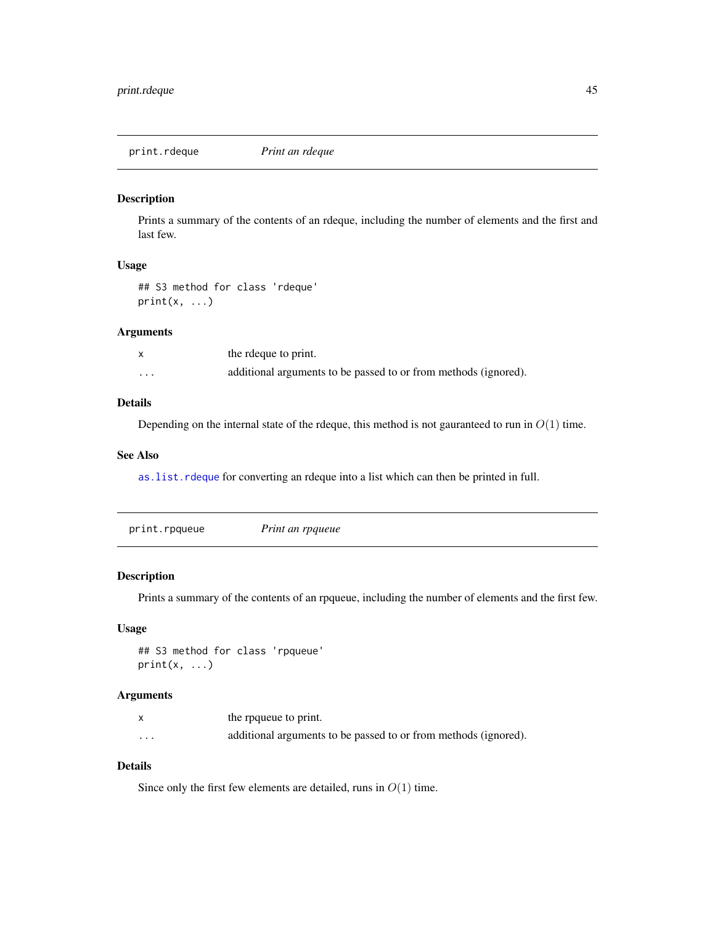<span id="page-44-0"></span>print.rdeque *Print an rdeque*

### Description

Prints a summary of the contents of an rdeque, including the number of elements and the first and last few.

#### Usage

## S3 method for class 'rdeque'  $print(x, \ldots)$ 

#### Arguments

|          | the rdeque to print.                                            |
|----------|-----------------------------------------------------------------|
| $\cdots$ | additional arguments to be passed to or from methods (ignored). |

### Details

Depending on the internal state of the rdeque, this method is not gauranteed to run in  $O(1)$  time.

#### See Also

[as.list.rdeque](#page-6-1) for converting an rdeque into a list which can then be printed in full.

### Description

Prints a summary of the contents of an rpqueue, including the number of elements and the first few.

### Usage

## S3 method for class 'rpqueue'  $print(x, \ldots)$ 

### Arguments

|          | the rpqueue to print.                                           |
|----------|-----------------------------------------------------------------|
| $\cdots$ | additional arguments to be passed to or from methods (ignored). |

### Details

Since only the first few elements are detailed, runs in  $O(1)$  time.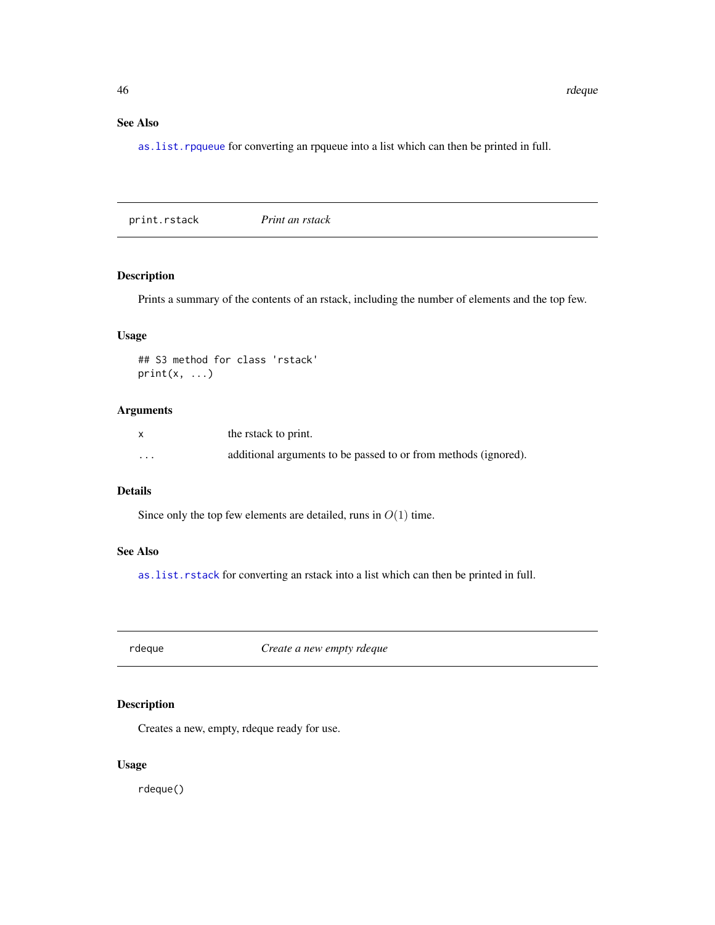### <span id="page-45-0"></span>See Also

[as.list.rpqueue](#page-7-1) for converting an rpqueue into a list which can then be printed in full.

print.rstack *Print an rstack*

### Description

Prints a summary of the contents of an rstack, including the number of elements and the top few.

### Usage

## S3 method for class 'rstack'  $print(x, \ldots)$ 

### Arguments

|          | the rstack to print.                                            |
|----------|-----------------------------------------------------------------|
| $\cdots$ | additional arguments to be passed to or from methods (ignored). |

### Details

Since only the top few elements are detailed, runs in  $O(1)$  time.

### See Also

[as.list.rstack](#page-8-1) for converting an rstack into a list which can then be printed in full.

<span id="page-45-1"></span>rdeque *Create a new empty rdeque*

### Description

Creates a new, empty, rdeque ready for use.

### Usage

rdeque()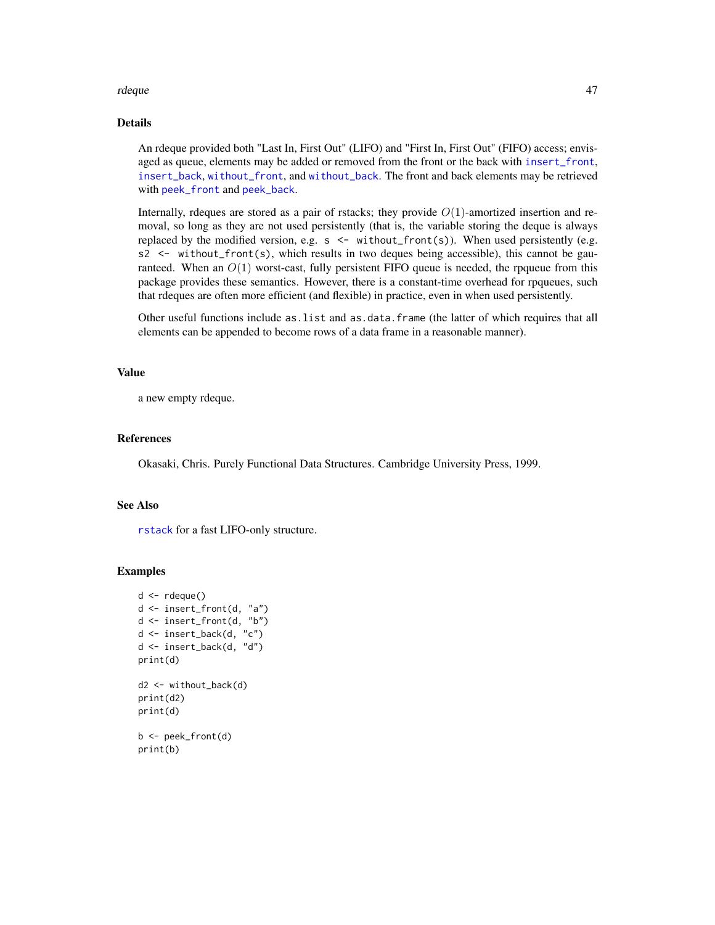#### <span id="page-46-0"></span>rdeque de la contradiction de la contradiction de la contradiction de la contradiction de la contradiction de<br>La contradiction de la contradiction de la contradiction de la contradiction de la contradiction de la contrad

### Details

An rdeque provided both "Last In, First Out" (LIFO) and "First In, First Out" (FIFO) access; envisaged as queue, elements may be added or removed from the front or the back with [insert\\_front](#page-23-1), [insert\\_back](#page-20-1), [without\\_front](#page-54-1), and [without\\_back](#page-52-1). The front and back elements may be retrieved with [peek\\_front](#page-34-1) and [peek\\_back](#page-30-1).

Internally, rdeques are stored as a pair of rstacks; they provide  $O(1)$ -amortized insertion and removal, so long as they are not used persistently (that is, the variable storing the deque is always replaced by the modified version, e.g.  $s \leq$  without\_front(s)). When used persistently (e.g.  $s2 \le$  without\_front(s), which results in two deques being accessible), this cannot be gauranteed. When an  $O(1)$  worst-cast, fully persistent FIFO queue is needed, the rpqueue from this package provides these semantics. However, there is a constant-time overhead for rpqueues, such that rdeques are often more efficient (and flexible) in practice, even in when used persistently.

Other useful functions include as.list and as.data.frame (the latter of which requires that all elements can be appended to become rows of a data frame in a reasonable manner).

#### Value

a new empty rdeque.

### References

Okasaki, Chris. Purely Functional Data Structures. Cambridge University Press, 1999.

#### See Also

[rstack](#page-50-1) for a fast LIFO-only structure.

```
d \leftarrow rdeque()
d <- insert_front(d, "a")
d <- insert_front(d, "b")
d <- insert_back(d, "c")
d <- insert_back(d, "d")
print(d)
d2 <- without_back(d)
print(d2)
print(d)
b <- peek_front(d)
print(b)
```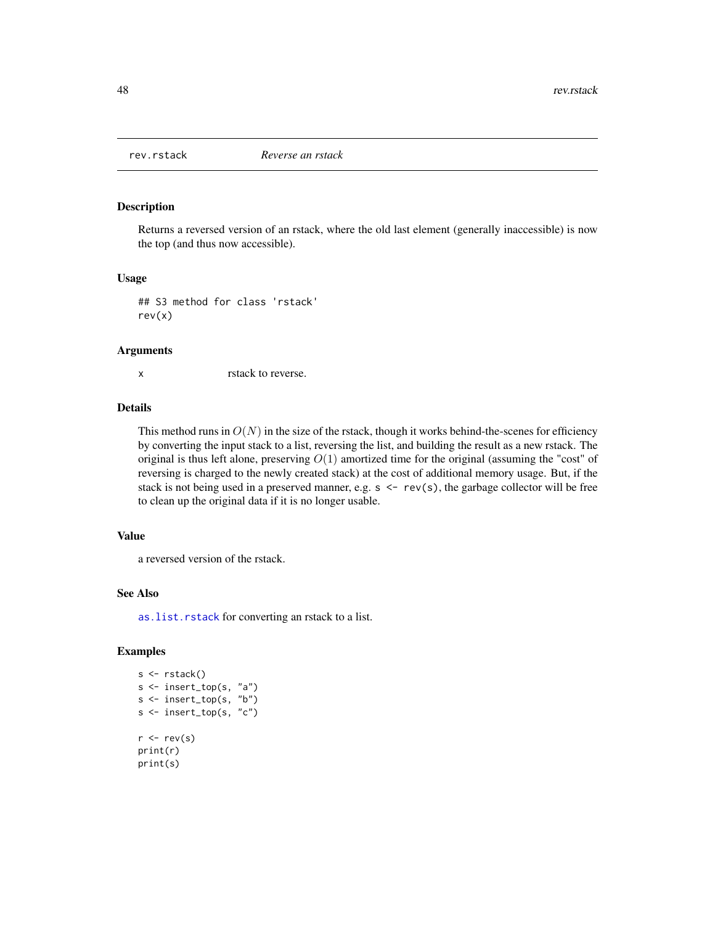<span id="page-47-0"></span>

Returns a reversed version of an rstack, where the old last element (generally inaccessible) is now the top (and thus now accessible).

#### Usage

## S3 method for class 'rstack' rev(x)

#### Arguments

x rstack to reverse.

### Details

This method runs in  $O(N)$  in the size of the rstack, though it works behind-the-scenes for efficiency by converting the input stack to a list, reversing the list, and building the result as a new rstack. The original is thus left alone, preserving  $O(1)$  amortized time for the original (assuming the "cost" of reversing is charged to the newly created stack) at the cost of additional memory usage. But, if the stack is not being used in a preserved manner, e.g.  $s \le -r$  rev(s), the garbage collector will be free to clean up the original data if it is no longer usable.

#### Value

a reversed version of the rstack.

#### See Also

[as.list.rstack](#page-8-1) for converting an rstack to a list.

```
s <- rstack()
s <- insert_top(s, "a")
s <- insert_top(s, "b")
s <- insert_top(s, "c")
r < -rev(s)print(r)
print(s)
```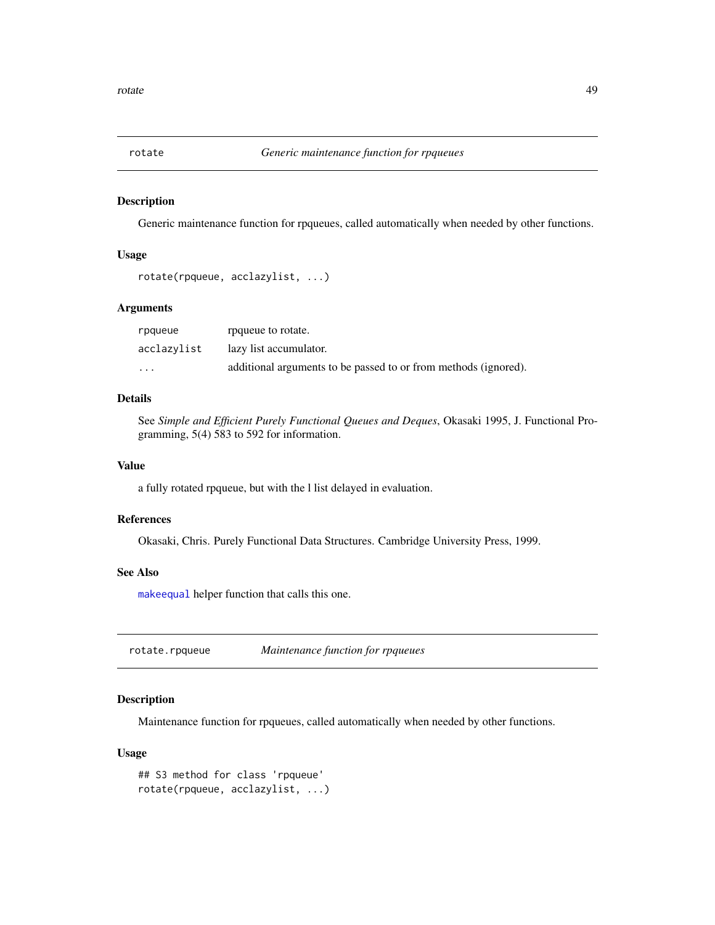<span id="page-48-1"></span><span id="page-48-0"></span>

Generic maintenance function for rpqueues, called automatically when needed by other functions.

#### Usage

```
rotate(rpqueue, acclazylist, ...)
```
### Arguments

| rpgueue     | rpqueue to rotate.                                              |
|-------------|-----------------------------------------------------------------|
| acclazylist | lazy list accumulator.                                          |
| $\cdots$    | additional arguments to be passed to or from methods (ignored). |

### Details

See *Simple and Efficient Purely Functional Queues and Deques*, Okasaki 1995, J. Functional Programming, 5(4) 583 to 592 for information.

#### Value

a fully rotated rpqueue, but with the l list delayed in evaluation.

### References

Okasaki, Chris. Purely Functional Data Structures. Cambridge University Press, 1999.

### See Also

[makeequal](#page-29-1) helper function that calls this one.

rotate.rpqueue *Maintenance function for rpqueues*

### Description

Maintenance function for rpqueues, called automatically when needed by other functions.

### Usage

```
## S3 method for class 'rpqueue'
rotate(rpqueue, acclazylist, ...)
```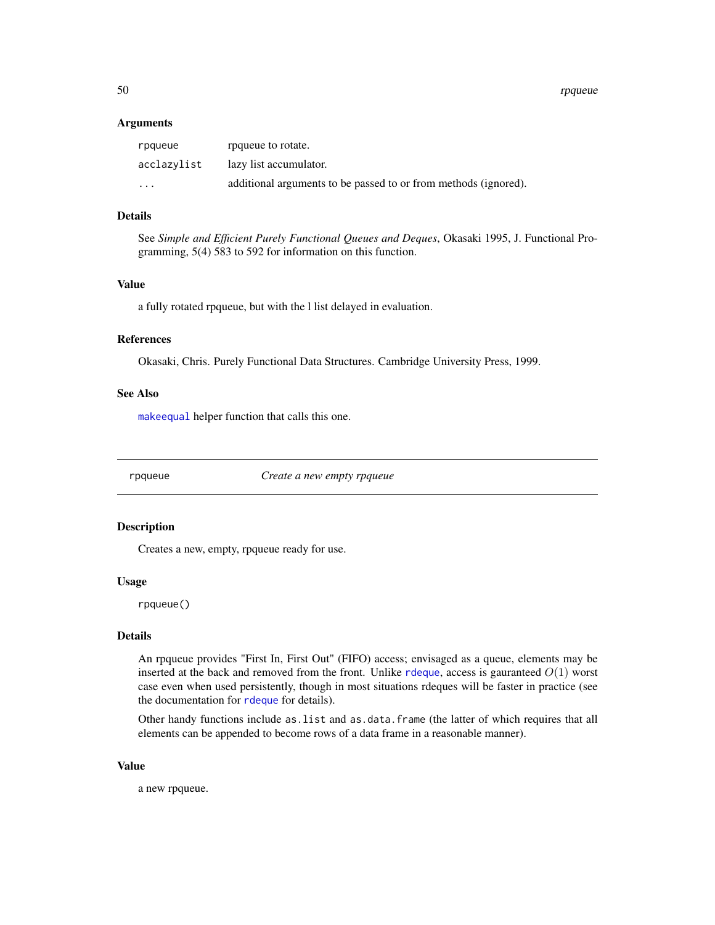<span id="page-49-0"></span>50 rpqueue

#### **Arguments**

| rpqueue                 | roqueue to rotate.                                              |
|-------------------------|-----------------------------------------------------------------|
| acclazylist             | lazy list accumulator.                                          |
| $\cdot$ $\cdot$ $\cdot$ | additional arguments to be passed to or from methods (ignored). |

#### Details

See *Simple and Efficient Purely Functional Queues and Deques*, Okasaki 1995, J. Functional Programming, 5(4) 583 to 592 for information on this function.

### Value

a fully rotated rpqueue, but with the l list delayed in evaluation.

### References

Okasaki, Chris. Purely Functional Data Structures. Cambridge University Press, 1999.

#### See Also

[makeequal](#page-29-1) helper function that calls this one.

<span id="page-49-1"></span>

rpqueue *Create a new empty rpqueue*

### Description

Creates a new, empty, rpqueue ready for use.

#### Usage

rpqueue()

### Details

An rpqueue provides "First In, First Out" (FIFO) access; envisaged as a queue, elements may be inserted at the back and removed from the front. Unlike [rdeque](#page-45-1), access is gauranteed  $O(1)$  worst case even when used persistently, though in most situations rdeques will be faster in practice (see the documentation for [rdeque](#page-45-1) for details).

Other handy functions include as.list and as.data.frame (the latter of which requires that all elements can be appended to become rows of a data frame in a reasonable manner).

### Value

a new rpqueue.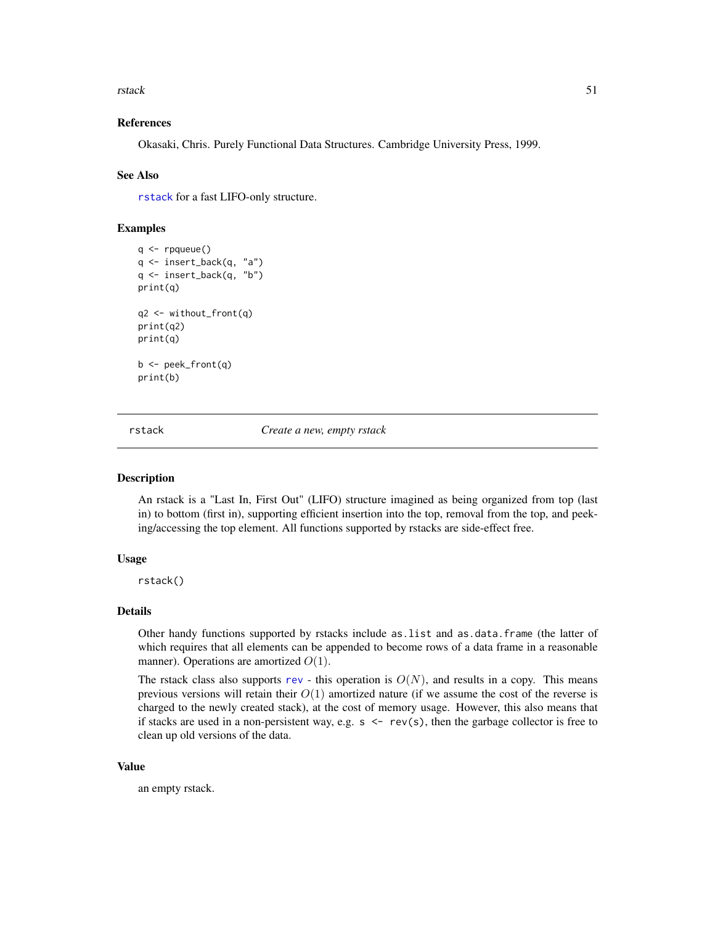<span id="page-50-0"></span>rstack 51

#### References

Okasaki, Chris. Purely Functional Data Structures. Cambridge University Press, 1999.

#### See Also

[rstack](#page-50-1) for a fast LIFO-only structure.

### Examples

```
q \leftarrow rpqueue()
q <- insert_back(q, "a")
q <- insert_back(q, "b")
print(q)
q2 <- without_front(q)
print(q2)
print(q)
b <- peek_front(q)
print(b)
```
<span id="page-50-1"></span>rstack *Create a new, empty rstack*

#### Description

An rstack is a "Last In, First Out" (LIFO) structure imagined as being organized from top (last in) to bottom (first in), supporting efficient insertion into the top, removal from the top, and peeking/accessing the top element. All functions supported by rstacks are side-effect free.

#### Usage

rstack()

### Details

Other handy functions supported by rstacks include as.list and as.data.frame (the latter of which requires that all elements can be appended to become rows of a data frame in a reasonable manner). Operations are amortized  $O(1)$ .

The rstack class also supports [rev](#page-0-0) - this operation is  $O(N)$ , and results in a copy. This means previous versions will retain their  $O(1)$  amortized nature (if we assume the cost of the reverse is charged to the newly created stack), at the cost of memory usage. However, this also means that if stacks are used in a non-persistent way, e.g.  $s \leq -r$  rev(s), then the garbage collector is free to clean up old versions of the data.

#### Value

an empty rstack.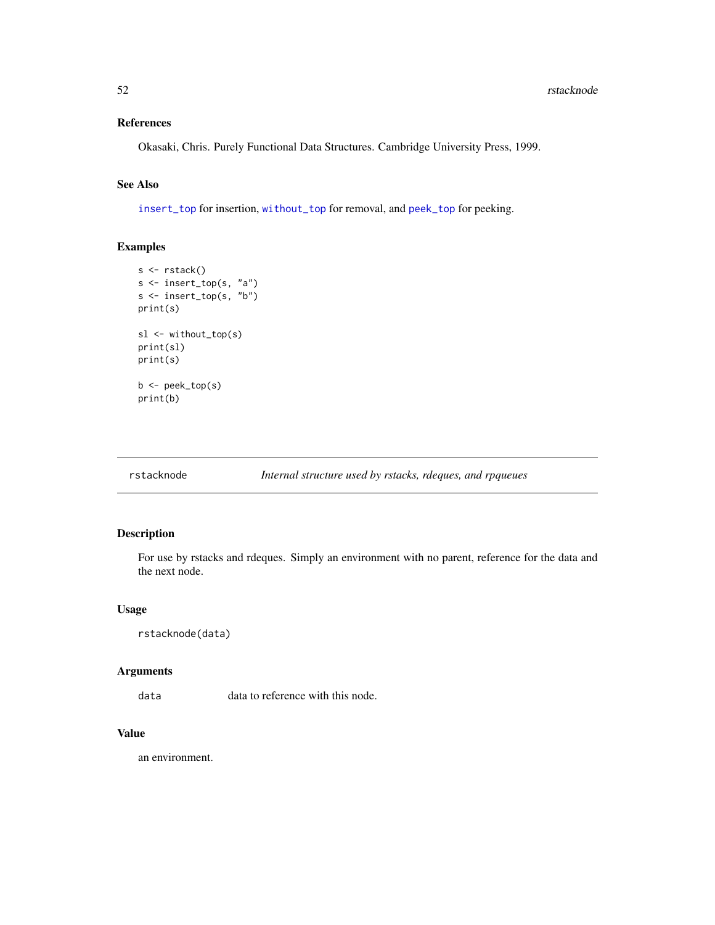### <span id="page-51-0"></span>References

Okasaki, Chris. Purely Functional Data Structures. Cambridge University Press, 1999.

### See Also

[insert\\_top](#page-25-1) for insertion, [without\\_top](#page-57-1) for removal, and [peek\\_top](#page-40-1) for peeking.

### Examples

```
s <- rstack()
s <- insert_top(s, "a")
s <- insert_top(s, "b")
print(s)
sl <- without_top(s)
print(sl)
print(s)
b <- peek_top(s)
print(b)
```
rstacknode *Internal structure used by rstacks, rdeques, and rpqueues*

### Description

For use by rstacks and rdeques. Simply an environment with no parent, reference for the data and the next node.

### Usage

```
rstacknode(data)
```
#### Arguments

data data to reference with this node.

### Value

an environment.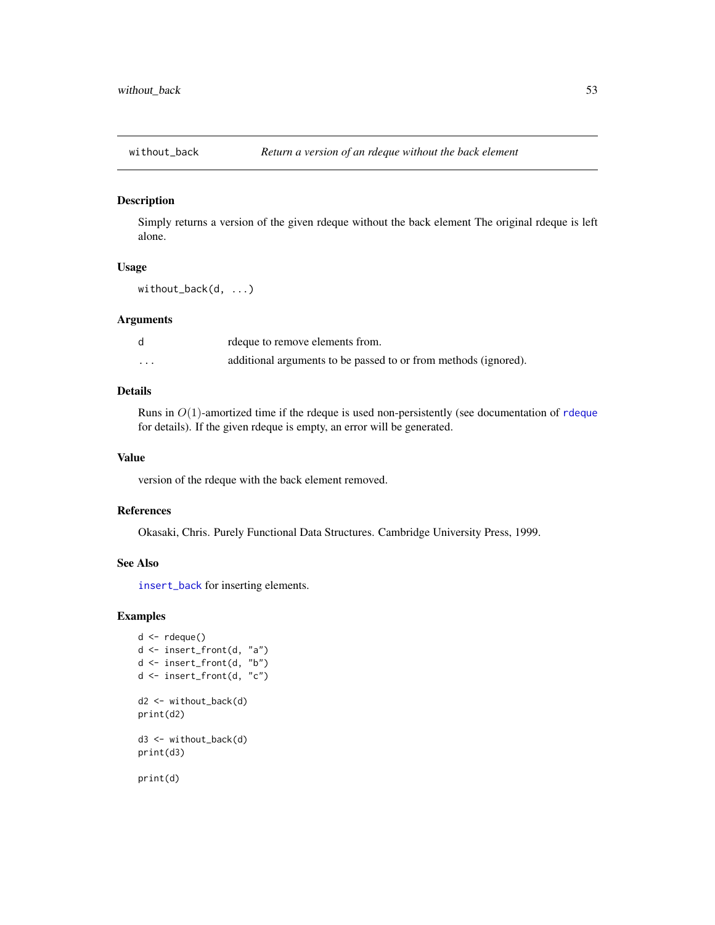<span id="page-52-1"></span><span id="page-52-0"></span>

Simply returns a version of the given rdeque without the back element The original rdeque is left alone.

#### Usage

without\_back(d, ...)

### Arguments

|          | rdeque to remove elements from.                                 |
|----------|-----------------------------------------------------------------|
| $\cdots$ | additional arguments to be passed to or from methods (ignored). |

### Details

Runs in  $O(1)$ -amortized time if the [rdeque](#page-45-1) is used non-persistently (see documentation of rdeque for details). If the given rdeque is empty, an error will be generated.

### Value

version of the rdeque with the back element removed.

#### References

Okasaki, Chris. Purely Functional Data Structures. Cambridge University Press, 1999.

#### See Also

[insert\\_back](#page-20-1) for inserting elements.

```
d \leftarrow rdeque()
d <- insert_front(d, "a")
d <- insert_front(d, "b")
d <- insert_front(d, "c")
d2 <- without_back(d)
print(d2)
d3 <- without_back(d)
print(d3)
print(d)
```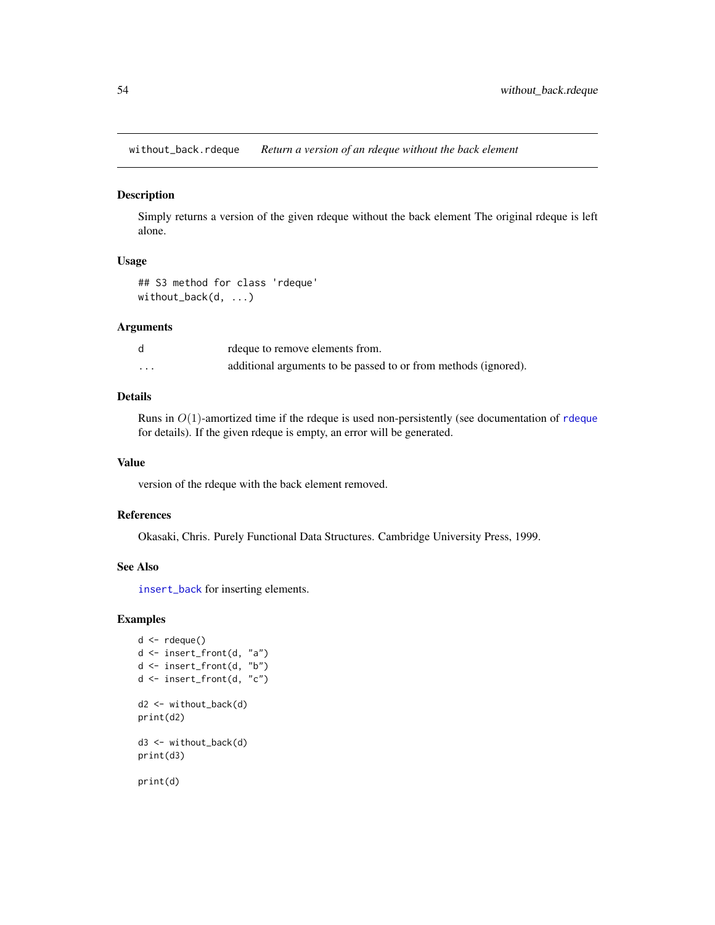<span id="page-53-0"></span>without\_back.rdeque *Return a version of an rdeque without the back element*

#### Description

Simply returns a version of the given rdeque without the back element The original rdeque is left alone.

### Usage

## S3 method for class 'rdeque' without\_back(d, ...)

### Arguments

d rdeque to remove elements from. ... additional arguments to be passed to or from methods (ignored).

### Details

Runs in  $O(1)$ -amortized time if the [rdeque](#page-45-1) is used non-persistently (see documentation of rdeque for details). If the given rdeque is empty, an error will be generated.

#### Value

version of the rdeque with the back element removed.

#### References

Okasaki, Chris. Purely Functional Data Structures. Cambridge University Press, 1999.

#### See Also

[insert\\_back](#page-20-1) for inserting elements.

```
d \leq -r rdeque()
d <- insert_front(d, "a")
d <- insert_front(d, "b")
d <- insert_front(d, "c")
d2 <- without_back(d)
print(d2)
d3 <- without_back(d)
print(d3)
print(d)
```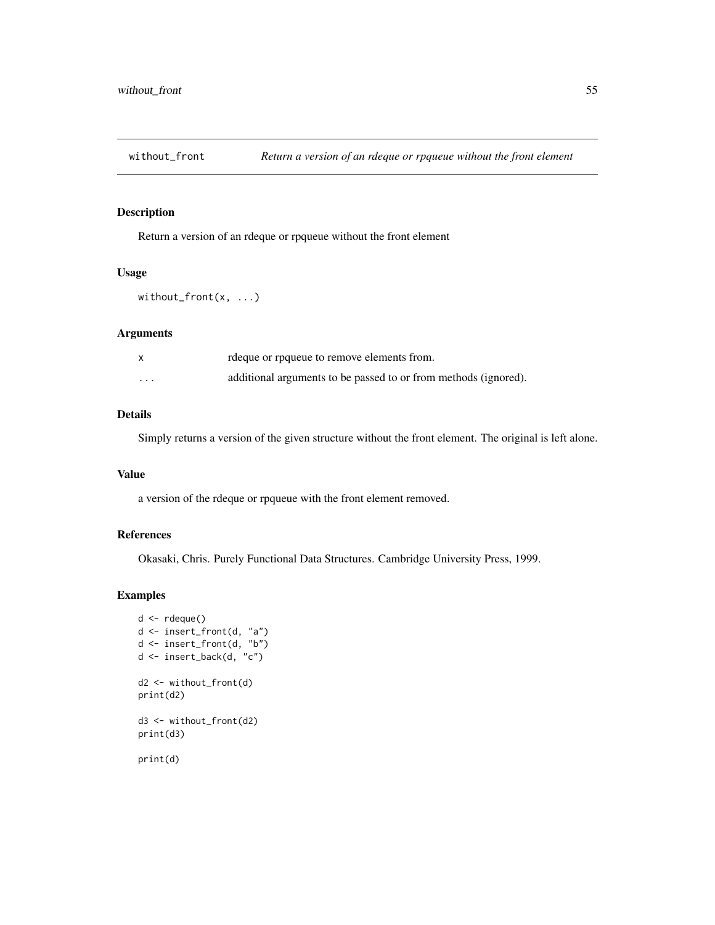<span id="page-54-1"></span><span id="page-54-0"></span>

Return a version of an rdeque or rpqueue without the front element

#### Usage

```
without_front(x, ...)
```
### Arguments

|          | rdeque or rpqueue to remove elements from.                      |
|----------|-----------------------------------------------------------------|
| $\cdots$ | additional arguments to be passed to or from methods (ignored). |

### Details

Simply returns a version of the given structure without the front element. The original is left alone.

### Value

a version of the rdeque or rpqueue with the front element removed.

### References

Okasaki, Chris. Purely Functional Data Structures. Cambridge University Press, 1999.

```
d \leftarrow rdeque()
d <- insert_front(d, "a")
d <- insert_front(d, "b")
d <- insert_back(d, "c")
d2 <- without_front(d)
print(d2)
d3 <- without_front(d2)
print(d3)
print(d)
```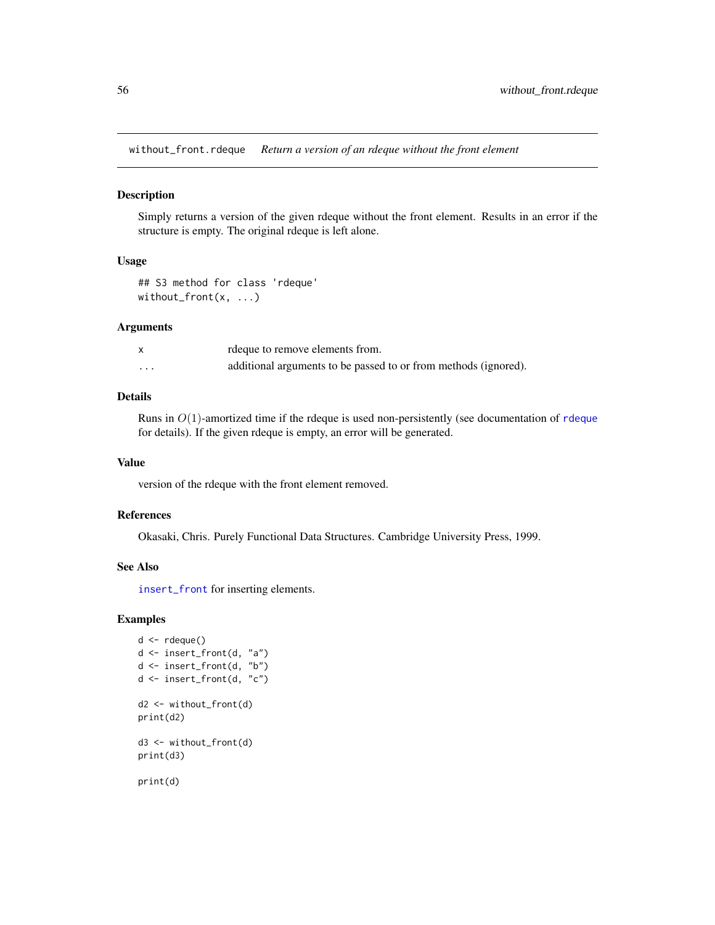<span id="page-55-0"></span>without\_front.rdeque *Return a version of an rdeque without the front element*

### Description

Simply returns a version of the given rdeque without the front element. Results in an error if the structure is empty. The original rdeque is left alone.

#### Usage

## S3 method for class 'rdeque' without\_front(x, ...)

### Arguments

|                         | rdeque to remove elements from.                                 |
|-------------------------|-----------------------------------------------------------------|
| $\cdot$ $\cdot$ $\cdot$ | additional arguments to be passed to or from methods (ignored). |

#### Details

Runs in  $O(1)$ -amortized time if the [rdeque](#page-45-1) is used non-persistently (see documentation of rdeque for details). If the given rdeque is empty, an error will be generated.

#### Value

version of the rdeque with the front element removed.

#### References

Okasaki, Chris. Purely Functional Data Structures. Cambridge University Press, 1999.

#### See Also

[insert\\_front](#page-23-1) for inserting elements.

```
d \leq -r rdeque()
d <- insert_front(d, "a")
d <- insert_front(d, "b")
d <- insert_front(d, "c")
d2 <- without_front(d)
print(d2)
d3 <- without_front(d)
print(d3)
print(d)
```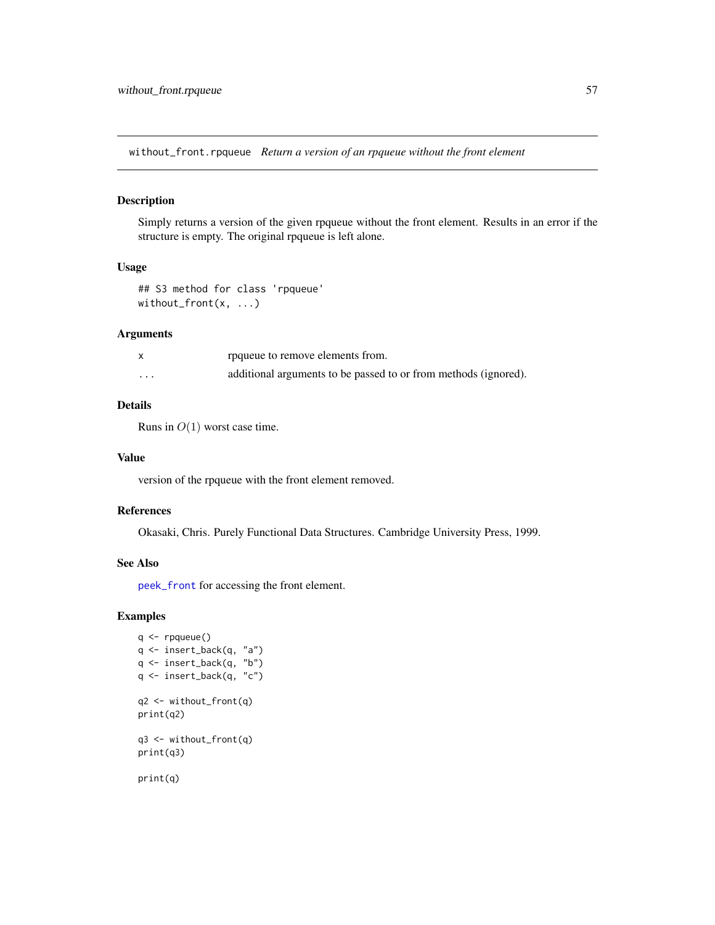<span id="page-56-0"></span>without\_front.rpqueue *Return a version of an rpqueue without the front element*

### Description

Simply returns a version of the given rpqueue without the front element. Results in an error if the structure is empty. The original rpqueue is left alone.

#### Usage

## S3 method for class 'rpqueue' without\_front(x, ...)

### Arguments

|          | roqueue to remove elements from.                                |
|----------|-----------------------------------------------------------------|
| $\cdots$ | additional arguments to be passed to or from methods (ignored). |

### Details

Runs in  $O(1)$  worst case time.

#### Value

version of the rpqueue with the front element removed.

#### References

Okasaki, Chris. Purely Functional Data Structures. Cambridge University Press, 1999.

#### See Also

[peek\\_front](#page-34-1) for accessing the front element.

```
q \leftarrow rpqueue()
q <- insert_back(q, "a")
q <- insert_back(q, "b")
q <- insert_back(q, "c")
q2 <- without_front(q)
print(q2)
q3 <- without_front(q)
print(q3)
print(q)
```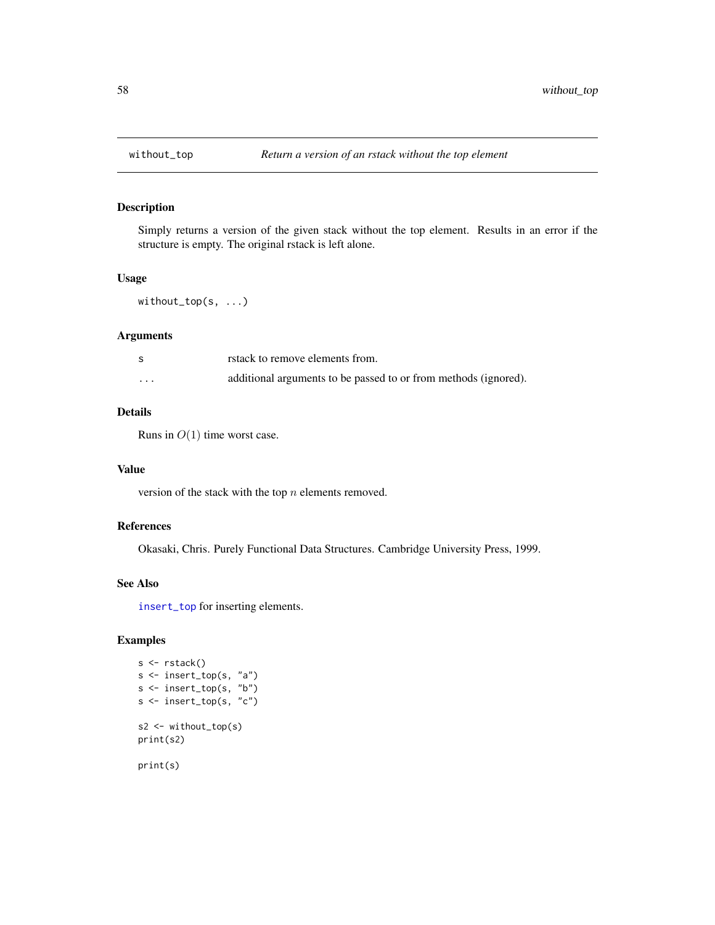<span id="page-57-1"></span><span id="page-57-0"></span>

Simply returns a version of the given stack without the top element. Results in an error if the structure is empty. The original rstack is left alone.

### Usage

without\_top(s, ...)

### Arguments

|          | rstack to remove elements from.                                 |
|----------|-----------------------------------------------------------------|
| $\cdots$ | additional arguments to be passed to or from methods (ignored). |

### Details

Runs in  $O(1)$  time worst case.

#### Value

version of the stack with the top  $n$  elements removed.

### References

Okasaki, Chris. Purely Functional Data Structures. Cambridge University Press, 1999.

#### See Also

[insert\\_top](#page-25-1) for inserting elements.

```
s <- rstack()
s <- insert_top(s, "a")
s <- insert_top(s, "b")
s \leftarrow insert_top(s, "c")
s2 <- without_top(s)
print(s2)
print(s)
```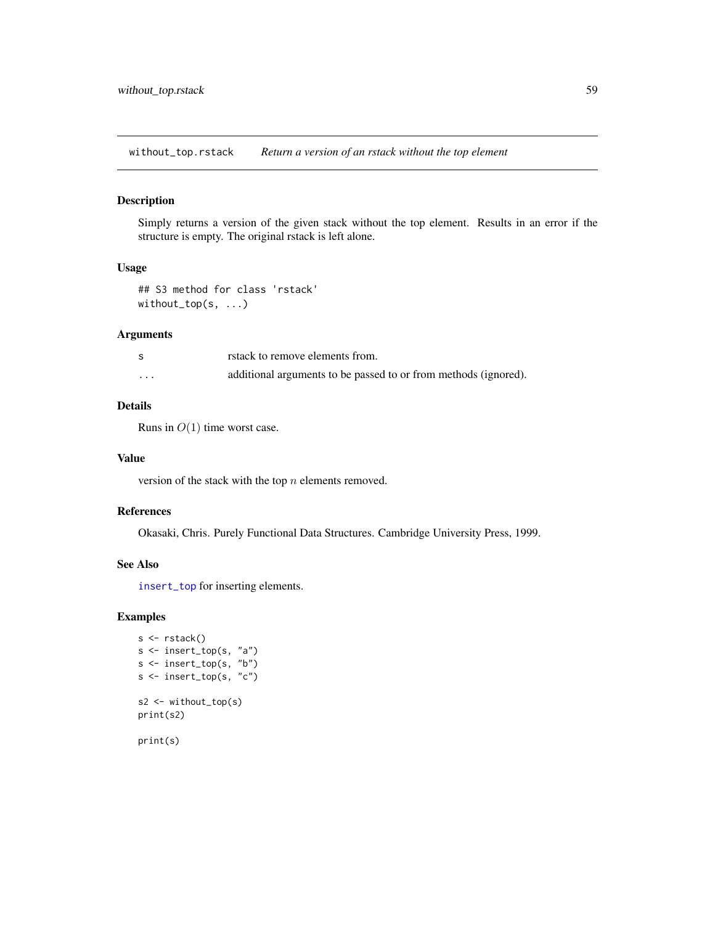<span id="page-58-0"></span>without\_top.rstack *Return a version of an rstack without the top element*

### Description

Simply returns a version of the given stack without the top element. Results in an error if the structure is empty. The original rstack is left alone.

#### Usage

```
## S3 method for class 'rstack'
without_top(s, ...)
```
### Arguments

|                         | rstack to remove elements from.                                 |
|-------------------------|-----------------------------------------------------------------|
| $\cdot$ $\cdot$ $\cdot$ | additional arguments to be passed to or from methods (ignored). |

### Details

Runs in  $O(1)$  time worst case.

#### Value

version of the stack with the top  $n$  elements removed.

#### References

Okasaki, Chris. Purely Functional Data Structures. Cambridge University Press, 1999.

#### See Also

[insert\\_top](#page-25-1) for inserting elements.

### Examples

```
s <- rstack()
s <- insert_top(s, "a")
s <- insert_top(s, "b")
s <- insert_top(s, "c")
s2 <- without_top(s)
print(s2)
```
print(s)